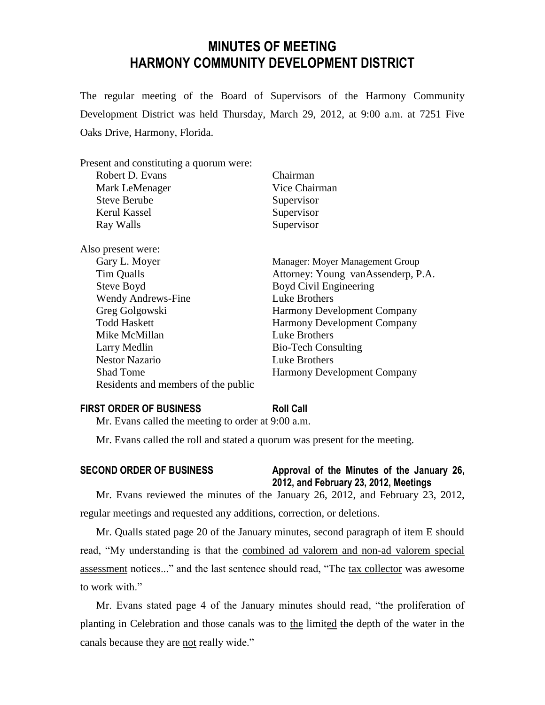# **MINUTES OF MEETING HARMONY COMMUNITY DEVELOPMENT DISTRICT**

The regular meeting of the Board of Supervisors of the Harmony Community Development District was held Thursday, March 29, 2012, at 9:00 a.m. at 7251 Five Oaks Drive, Harmony, Florida.

| Present and constituting a quorum were: |                                    |
|-----------------------------------------|------------------------------------|
| Robert D. Evans                         | Chairman                           |
| Mark LeMenager                          | Vice Chairman                      |
| <b>Steve Berube</b>                     | Supervisor                         |
| Kerul Kassel                            | Supervisor                         |
| Ray Walls                               | Supervisor                         |
| Also present were:                      |                                    |
| Gary L. Moyer                           | Manager: Moyer Management Group    |
| Tim Qualls                              | Attorney: Young vanAssenderp, P.A. |
| Steve Boyd                              | Boyd Civil Engineering             |
| <b>Wendy Andrews-Fine</b>               | Luke Brothers                      |
| Greg Golgowski                          | <b>Harmony Development Company</b> |
| <b>Todd Haskett</b>                     | <b>Harmony Development Company</b> |
| Mike McMillan                           | Luke Brothers                      |
| Larry Medlin                            | <b>Bio-Tech Consulting</b>         |
| <b>Nestor Nazario</b>                   | Luke Brothers                      |
| <b>Shad Tome</b>                        | <b>Harmony Development Company</b> |
| Residents and members of the public     |                                    |

#### **FIRST ORDER OF BUSINESS Roll Call**

Mr. Evans called the meeting to order at 9:00 a.m.

Mr. Evans called the roll and stated a quorum was present for the meeting.

### **SECOND ORDER OF BUSINESS Approval of the Minutes of the January 26, 2012, and February 23, 2012, Meetings**

Mr. Evans reviewed the minutes of the January 26, 2012, and February 23, 2012, regular meetings and requested any additions, correction, or deletions.

Mr. Qualls stated page 20 of the January minutes, second paragraph of item E should read, "My understanding is that the combined ad valorem and non-ad valorem special assessment notices..." and the last sentence should read, "The tax collector was awesome to work with."

Mr. Evans stated page 4 of the January minutes should read, "the proliferation of planting in Celebration and those canals was to the limited the depth of the water in the canals because they are not really wide."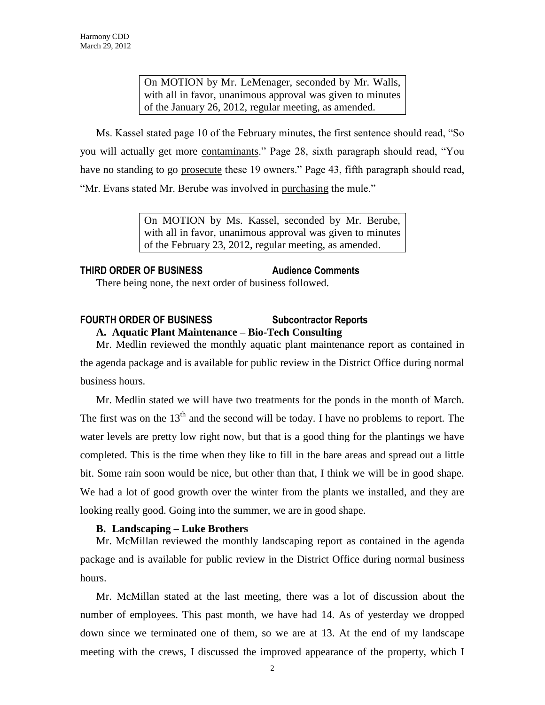On MOTION by Mr. LeMenager, seconded by Mr. Walls, with all in favor, unanimous approval was given to minutes of the January 26, 2012, regular meeting, as amended.

Ms. Kassel stated page 10 of the February minutes, the first sentence should read, "So you will actually get more contaminants." Page 28, sixth paragraph should read, "You have no standing to go prosecute these 19 owners." Page 43, fifth paragraph should read, "Mr. Evans stated Mr. Berube was involved in purchasing the mule."

> On MOTION by Ms. Kassel, seconded by Mr. Berube, with all in favor, unanimous approval was given to minutes of the February 23, 2012, regular meeting, as amended.

# **THIRD ORDER OF BUSINESS Audience Comments**

There being none, the next order of business followed.

### **FOURTH ORDER OF BUSINESS Subcontractor Reports A. Aquatic Plant Maintenance – Bio-Tech Consulting**

Mr. Medlin reviewed the monthly aquatic plant maintenance report as contained in the agenda package and is available for public review in the District Office during normal business hours.

Mr. Medlin stated we will have two treatments for the ponds in the month of March. The first was on the  $13<sup>th</sup>$  and the second will be today. I have no problems to report. The water levels are pretty low right now, but that is a good thing for the plantings we have completed. This is the time when they like to fill in the bare areas and spread out a little bit. Some rain soon would be nice, but other than that, I think we will be in good shape. We had a lot of good growth over the winter from the plants we installed, and they are looking really good. Going into the summer, we are in good shape.

#### **B. Landscaping – Luke Brothers**

Mr. McMillan reviewed the monthly landscaping report as contained in the agenda package and is available for public review in the District Office during normal business hours.

Mr. McMillan stated at the last meeting, there was a lot of discussion about the number of employees. This past month, we have had 14. As of yesterday we dropped down since we terminated one of them, so we are at 13. At the end of my landscape meeting with the crews, I discussed the improved appearance of the property, which I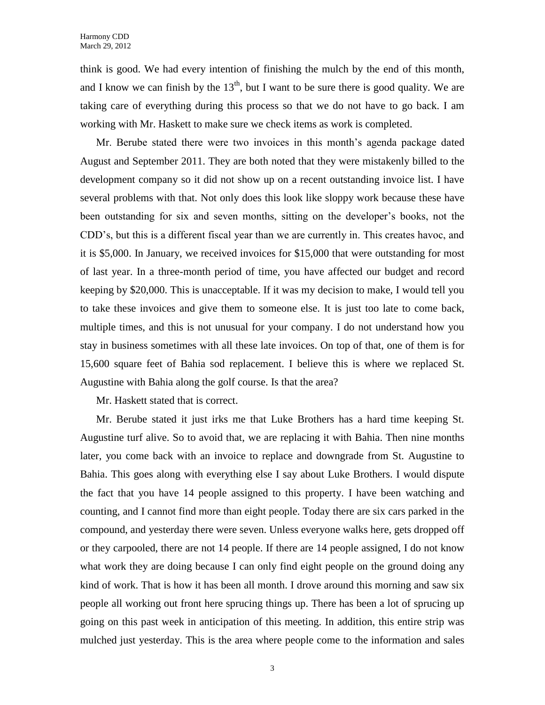think is good. We had every intention of finishing the mulch by the end of this month, and I know we can finish by the  $13<sup>th</sup>$ , but I want to be sure there is good quality. We are taking care of everything during this process so that we do not have to go back. I am working with Mr. Haskett to make sure we check items as work is completed.

Mr. Berube stated there were two invoices in this month's agenda package dated August and September 2011. They are both noted that they were mistakenly billed to the development company so it did not show up on a recent outstanding invoice list. I have several problems with that. Not only does this look like sloppy work because these have been outstanding for six and seven months, sitting on the developer's books, not the CDD's, but this is a different fiscal year than we are currently in. This creates havoc, and it is \$5,000. In January, we received invoices for \$15,000 that were outstanding for most of last year. In a three-month period of time, you have affected our budget and record keeping by \$20,000. This is unacceptable. If it was my decision to make, I would tell you to take these invoices and give them to someone else. It is just too late to come back, multiple times, and this is not unusual for your company. I do not understand how you stay in business sometimes with all these late invoices. On top of that, one of them is for 15,600 square feet of Bahia sod replacement. I believe this is where we replaced St. Augustine with Bahia along the golf course. Is that the area?

Mr. Haskett stated that is correct.

Mr. Berube stated it just irks me that Luke Brothers has a hard time keeping St. Augustine turf alive. So to avoid that, we are replacing it with Bahia. Then nine months later, you come back with an invoice to replace and downgrade from St. Augustine to Bahia. This goes along with everything else I say about Luke Brothers. I would dispute the fact that you have 14 people assigned to this property. I have been watching and counting, and I cannot find more than eight people. Today there are six cars parked in the compound, and yesterday there were seven. Unless everyone walks here, gets dropped off or they carpooled, there are not 14 people. If there are 14 people assigned, I do not know what work they are doing because I can only find eight people on the ground doing any kind of work. That is how it has been all month. I drove around this morning and saw six people all working out front here sprucing things up. There has been a lot of sprucing up going on this past week in anticipation of this meeting. In addition, this entire strip was mulched just yesterday. This is the area where people come to the information and sales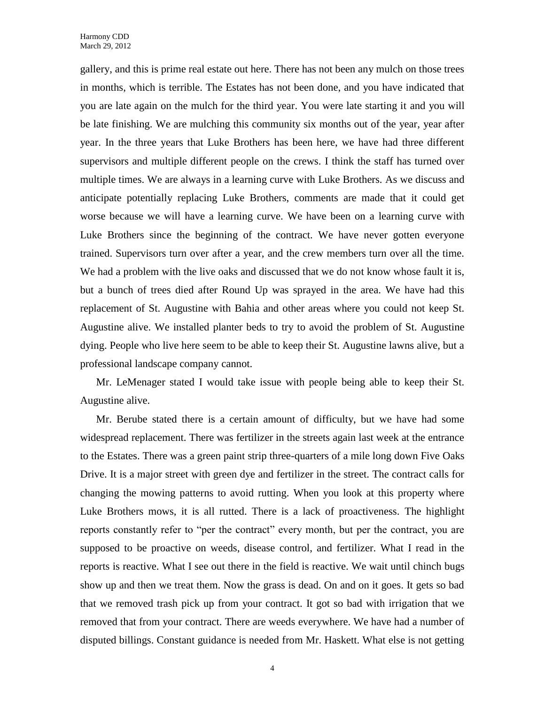gallery, and this is prime real estate out here. There has not been any mulch on those trees in months, which is terrible. The Estates has not been done, and you have indicated that you are late again on the mulch for the third year. You were late starting it and you will be late finishing. We are mulching this community six months out of the year, year after year. In the three years that Luke Brothers has been here, we have had three different supervisors and multiple different people on the crews. I think the staff has turned over multiple times. We are always in a learning curve with Luke Brothers. As we discuss and anticipate potentially replacing Luke Brothers, comments are made that it could get worse because we will have a learning curve. We have been on a learning curve with Luke Brothers since the beginning of the contract. We have never gotten everyone trained. Supervisors turn over after a year, and the crew members turn over all the time. We had a problem with the live oaks and discussed that we do not know whose fault it is, but a bunch of trees died after Round Up was sprayed in the area. We have had this replacement of St. Augustine with Bahia and other areas where you could not keep St. Augustine alive. We installed planter beds to try to avoid the problem of St. Augustine dying. People who live here seem to be able to keep their St. Augustine lawns alive, but a professional landscape company cannot.

Mr. LeMenager stated I would take issue with people being able to keep their St. Augustine alive.

Mr. Berube stated there is a certain amount of difficulty, but we have had some widespread replacement. There was fertilizer in the streets again last week at the entrance to the Estates. There was a green paint strip three-quarters of a mile long down Five Oaks Drive. It is a major street with green dye and fertilizer in the street. The contract calls for changing the mowing patterns to avoid rutting. When you look at this property where Luke Brothers mows, it is all rutted. There is a lack of proactiveness. The highlight reports constantly refer to "per the contract" every month, but per the contract, you are supposed to be proactive on weeds, disease control, and fertilizer. What I read in the reports is reactive. What I see out there in the field is reactive. We wait until chinch bugs show up and then we treat them. Now the grass is dead. On and on it goes. It gets so bad that we removed trash pick up from your contract. It got so bad with irrigation that we removed that from your contract. There are weeds everywhere. We have had a number of disputed billings. Constant guidance is needed from Mr. Haskett. What else is not getting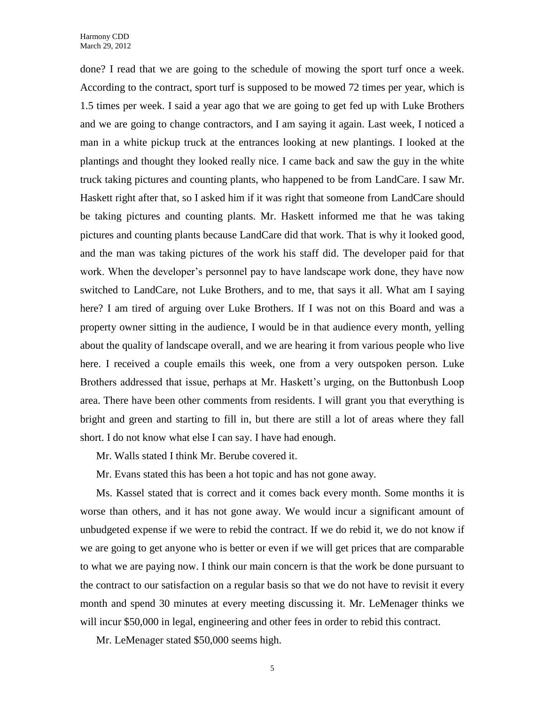done? I read that we are going to the schedule of mowing the sport turf once a week. According to the contract, sport turf is supposed to be mowed 72 times per year, which is 1.5 times per week. I said a year ago that we are going to get fed up with Luke Brothers and we are going to change contractors, and I am saying it again. Last week, I noticed a man in a white pickup truck at the entrances looking at new plantings. I looked at the plantings and thought they looked really nice. I came back and saw the guy in the white truck taking pictures and counting plants, who happened to be from LandCare. I saw Mr. Haskett right after that, so I asked him if it was right that someone from LandCare should be taking pictures and counting plants. Mr. Haskett informed me that he was taking pictures and counting plants because LandCare did that work. That is why it looked good, and the man was taking pictures of the work his staff did. The developer paid for that work. When the developer's personnel pay to have landscape work done, they have now switched to LandCare, not Luke Brothers, and to me, that says it all. What am I saying here? I am tired of arguing over Luke Brothers. If I was not on this Board and was a property owner sitting in the audience, I would be in that audience every month, yelling about the quality of landscape overall, and we are hearing it from various people who live here. I received a couple emails this week, one from a very outspoken person. Luke Brothers addressed that issue, perhaps at Mr. Haskett's urging, on the Buttonbush Loop area. There have been other comments from residents. I will grant you that everything is bright and green and starting to fill in, but there are still a lot of areas where they fall short. I do not know what else I can say. I have had enough.

Mr. Walls stated I think Mr. Berube covered it.

Mr. Evans stated this has been a hot topic and has not gone away.

Ms. Kassel stated that is correct and it comes back every month. Some months it is worse than others, and it has not gone away. We would incur a significant amount of unbudgeted expense if we were to rebid the contract. If we do rebid it, we do not know if we are going to get anyone who is better or even if we will get prices that are comparable to what we are paying now. I think our main concern is that the work be done pursuant to the contract to our satisfaction on a regular basis so that we do not have to revisit it every month and spend 30 minutes at every meeting discussing it. Mr. LeMenager thinks we will incur \$50,000 in legal, engineering and other fees in order to rebid this contract.

Mr. LeMenager stated \$50,000 seems high.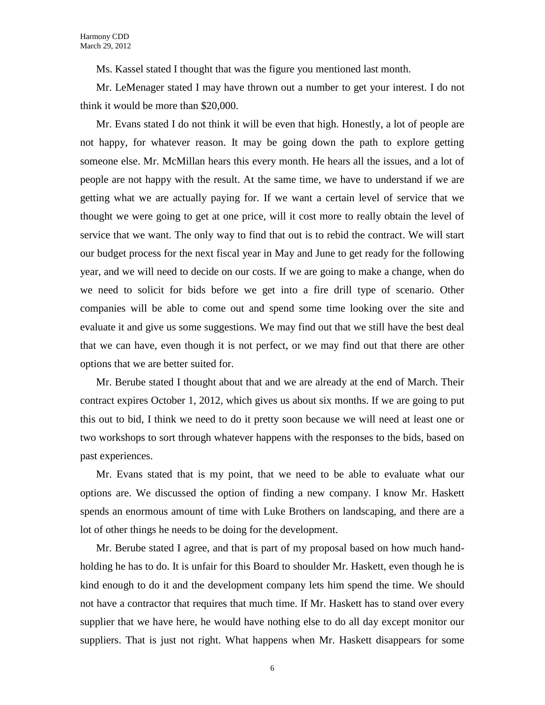Ms. Kassel stated I thought that was the figure you mentioned last month.

Mr. LeMenager stated I may have thrown out a number to get your interest. I do not think it would be more than \$20,000.

Mr. Evans stated I do not think it will be even that high. Honestly, a lot of people are not happy, for whatever reason. It may be going down the path to explore getting someone else. Mr. McMillan hears this every month. He hears all the issues, and a lot of people are not happy with the result. At the same time, we have to understand if we are getting what we are actually paying for. If we want a certain level of service that we thought we were going to get at one price, will it cost more to really obtain the level of service that we want. The only way to find that out is to rebid the contract. We will start our budget process for the next fiscal year in May and June to get ready for the following year, and we will need to decide on our costs. If we are going to make a change, when do we need to solicit for bids before we get into a fire drill type of scenario. Other companies will be able to come out and spend some time looking over the site and evaluate it and give us some suggestions. We may find out that we still have the best deal that we can have, even though it is not perfect, or we may find out that there are other options that we are better suited for.

Mr. Berube stated I thought about that and we are already at the end of March. Their contract expires October 1, 2012, which gives us about six months. If we are going to put this out to bid, I think we need to do it pretty soon because we will need at least one or two workshops to sort through whatever happens with the responses to the bids, based on past experiences.

Mr. Evans stated that is my point, that we need to be able to evaluate what our options are. We discussed the option of finding a new company. I know Mr. Haskett spends an enormous amount of time with Luke Brothers on landscaping, and there are a lot of other things he needs to be doing for the development.

Mr. Berube stated I agree, and that is part of my proposal based on how much handholding he has to do. It is unfair for this Board to shoulder Mr. Haskett, even though he is kind enough to do it and the development company lets him spend the time. We should not have a contractor that requires that much time. If Mr. Haskett has to stand over every supplier that we have here, he would have nothing else to do all day except monitor our suppliers. That is just not right. What happens when Mr. Haskett disappears for some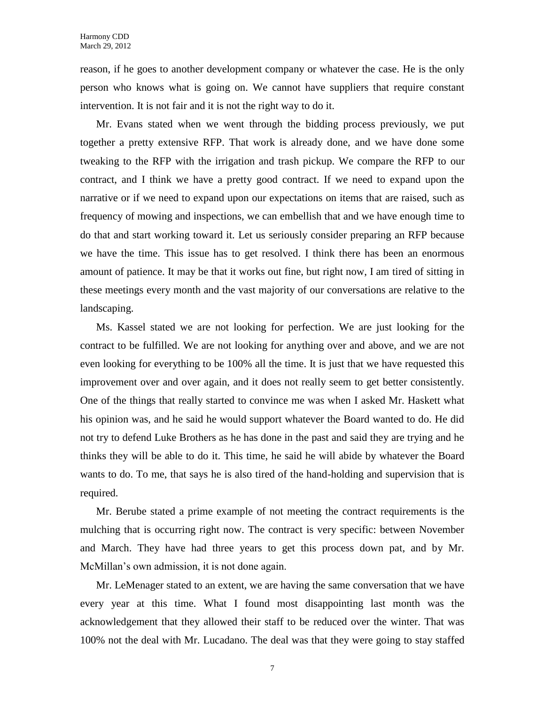reason, if he goes to another development company or whatever the case. He is the only person who knows what is going on. We cannot have suppliers that require constant intervention. It is not fair and it is not the right way to do it.

Mr. Evans stated when we went through the bidding process previously, we put together a pretty extensive RFP. That work is already done, and we have done some tweaking to the RFP with the irrigation and trash pickup. We compare the RFP to our contract, and I think we have a pretty good contract. If we need to expand upon the narrative or if we need to expand upon our expectations on items that are raised, such as frequency of mowing and inspections, we can embellish that and we have enough time to do that and start working toward it. Let us seriously consider preparing an RFP because we have the time. This issue has to get resolved. I think there has been an enormous amount of patience. It may be that it works out fine, but right now, I am tired of sitting in these meetings every month and the vast majority of our conversations are relative to the landscaping.

Ms. Kassel stated we are not looking for perfection. We are just looking for the contract to be fulfilled. We are not looking for anything over and above, and we are not even looking for everything to be 100% all the time. It is just that we have requested this improvement over and over again, and it does not really seem to get better consistently. One of the things that really started to convince me was when I asked Mr. Haskett what his opinion was, and he said he would support whatever the Board wanted to do. He did not try to defend Luke Brothers as he has done in the past and said they are trying and he thinks they will be able to do it. This time, he said he will abide by whatever the Board wants to do. To me, that says he is also tired of the hand-holding and supervision that is required.

Mr. Berube stated a prime example of not meeting the contract requirements is the mulching that is occurring right now. The contract is very specific: between November and March. They have had three years to get this process down pat, and by Mr. McMillan's own admission, it is not done again.

Mr. LeMenager stated to an extent, we are having the same conversation that we have every year at this time. What I found most disappointing last month was the acknowledgement that they allowed their staff to be reduced over the winter. That was 100% not the deal with Mr. Lucadano. The deal was that they were going to stay staffed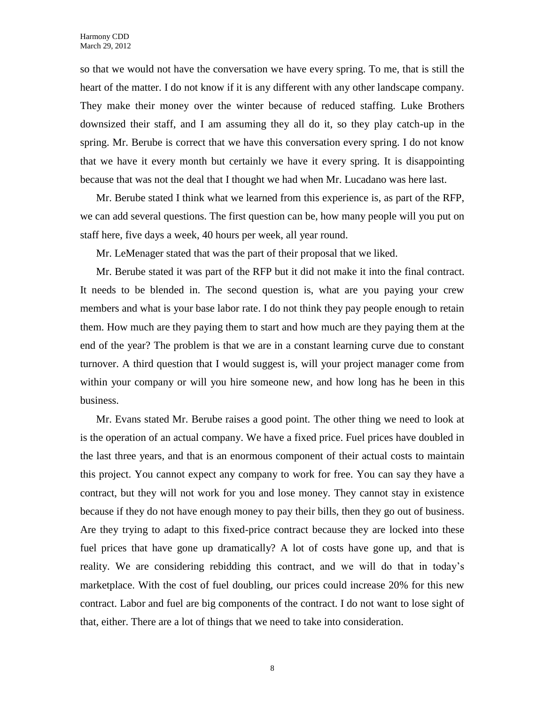so that we would not have the conversation we have every spring. To me, that is still the heart of the matter. I do not know if it is any different with any other landscape company. They make their money over the winter because of reduced staffing. Luke Brothers downsized their staff, and I am assuming they all do it, so they play catch-up in the spring. Mr. Berube is correct that we have this conversation every spring. I do not know that we have it every month but certainly we have it every spring. It is disappointing because that was not the deal that I thought we had when Mr. Lucadano was here last.

Mr. Berube stated I think what we learned from this experience is, as part of the RFP, we can add several questions. The first question can be, how many people will you put on staff here, five days a week, 40 hours per week, all year round.

Mr. LeMenager stated that was the part of their proposal that we liked.

Mr. Berube stated it was part of the RFP but it did not make it into the final contract. It needs to be blended in. The second question is, what are you paying your crew members and what is your base labor rate. I do not think they pay people enough to retain them. How much are they paying them to start and how much are they paying them at the end of the year? The problem is that we are in a constant learning curve due to constant turnover. A third question that I would suggest is, will your project manager come from within your company or will you hire someone new, and how long has he been in this business.

Mr. Evans stated Mr. Berube raises a good point. The other thing we need to look at is the operation of an actual company. We have a fixed price. Fuel prices have doubled in the last three years, and that is an enormous component of their actual costs to maintain this project. You cannot expect any company to work for free. You can say they have a contract, but they will not work for you and lose money. They cannot stay in existence because if they do not have enough money to pay their bills, then they go out of business. Are they trying to adapt to this fixed-price contract because they are locked into these fuel prices that have gone up dramatically? A lot of costs have gone up, and that is reality. We are considering rebidding this contract, and we will do that in today's marketplace. With the cost of fuel doubling, our prices could increase 20% for this new contract. Labor and fuel are big components of the contract. I do not want to lose sight of that, either. There are a lot of things that we need to take into consideration.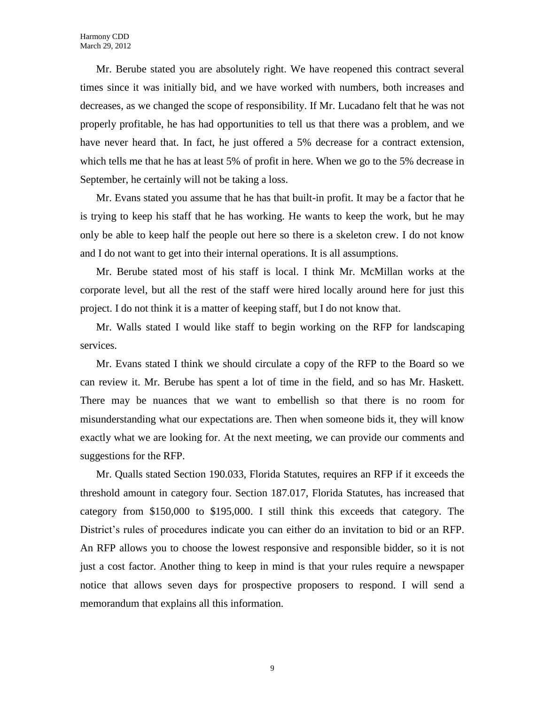Mr. Berube stated you are absolutely right. We have reopened this contract several times since it was initially bid, and we have worked with numbers, both increases and decreases, as we changed the scope of responsibility. If Mr. Lucadano felt that he was not properly profitable, he has had opportunities to tell us that there was a problem, and we have never heard that. In fact, he just offered a 5% decrease for a contract extension, which tells me that he has at least 5% of profit in here. When we go to the 5% decrease in September, he certainly will not be taking a loss.

Mr. Evans stated you assume that he has that built-in profit. It may be a factor that he is trying to keep his staff that he has working. He wants to keep the work, but he may only be able to keep half the people out here so there is a skeleton crew. I do not know and I do not want to get into their internal operations. It is all assumptions.

Mr. Berube stated most of his staff is local. I think Mr. McMillan works at the corporate level, but all the rest of the staff were hired locally around here for just this project. I do not think it is a matter of keeping staff, but I do not know that.

Mr. Walls stated I would like staff to begin working on the RFP for landscaping services.

Mr. Evans stated I think we should circulate a copy of the RFP to the Board so we can review it. Mr. Berube has spent a lot of time in the field, and so has Mr. Haskett. There may be nuances that we want to embellish so that there is no room for misunderstanding what our expectations are. Then when someone bids it, they will know exactly what we are looking for. At the next meeting, we can provide our comments and suggestions for the RFP.

Mr. Qualls stated Section 190.033, Florida Statutes, requires an RFP if it exceeds the threshold amount in category four. Section 187.017, Florida Statutes, has increased that category from \$150,000 to \$195,000. I still think this exceeds that category. The District's rules of procedures indicate you can either do an invitation to bid or an RFP. An RFP allows you to choose the lowest responsive and responsible bidder, so it is not just a cost factor. Another thing to keep in mind is that your rules require a newspaper notice that allows seven days for prospective proposers to respond. I will send a memorandum that explains all this information.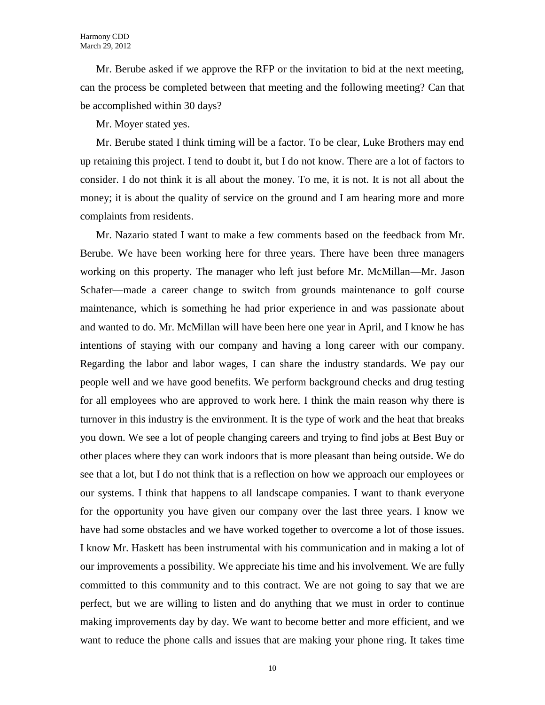Mr. Berube asked if we approve the RFP or the invitation to bid at the next meeting, can the process be completed between that meeting and the following meeting? Can that be accomplished within 30 days?

Mr. Moyer stated yes.

Mr. Berube stated I think timing will be a factor. To be clear, Luke Brothers may end up retaining this project. I tend to doubt it, but I do not know. There are a lot of factors to consider. I do not think it is all about the money. To me, it is not. It is not all about the money; it is about the quality of service on the ground and I am hearing more and more complaints from residents.

Mr. Nazario stated I want to make a few comments based on the feedback from Mr. Berube. We have been working here for three years. There have been three managers working on this property. The manager who left just before Mr. McMillan—Mr. Jason Schafer—made a career change to switch from grounds maintenance to golf course maintenance, which is something he had prior experience in and was passionate about and wanted to do. Mr. McMillan will have been here one year in April, and I know he has intentions of staying with our company and having a long career with our company. Regarding the labor and labor wages, I can share the industry standards. We pay our people well and we have good benefits. We perform background checks and drug testing for all employees who are approved to work here. I think the main reason why there is turnover in this industry is the environment. It is the type of work and the heat that breaks you down. We see a lot of people changing careers and trying to find jobs at Best Buy or other places where they can work indoors that is more pleasant than being outside. We do see that a lot, but I do not think that is a reflection on how we approach our employees or our systems. I think that happens to all landscape companies. I want to thank everyone for the opportunity you have given our company over the last three years. I know we have had some obstacles and we have worked together to overcome a lot of those issues. I know Mr. Haskett has been instrumental with his communication and in making a lot of our improvements a possibility. We appreciate his time and his involvement. We are fully committed to this community and to this contract. We are not going to say that we are perfect, but we are willing to listen and do anything that we must in order to continue making improvements day by day. We want to become better and more efficient, and we want to reduce the phone calls and issues that are making your phone ring. It takes time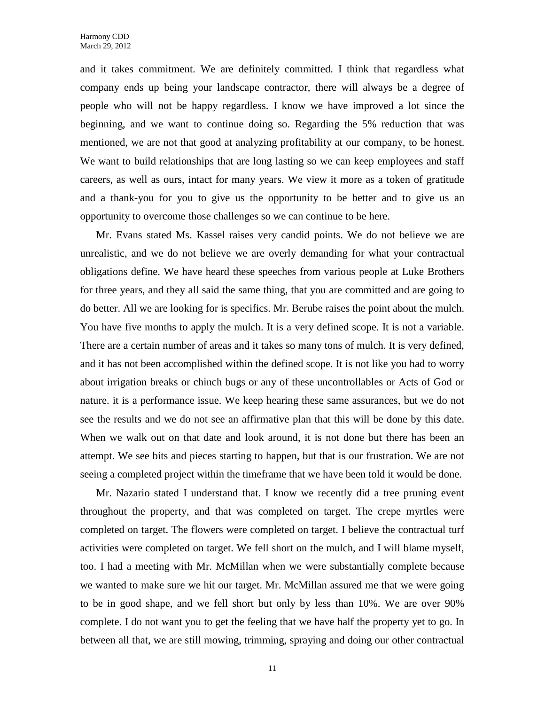and it takes commitment. We are definitely committed. I think that regardless what company ends up being your landscape contractor, there will always be a degree of people who will not be happy regardless. I know we have improved a lot since the beginning, and we want to continue doing so. Regarding the 5% reduction that was mentioned, we are not that good at analyzing profitability at our company, to be honest. We want to build relationships that are long lasting so we can keep employees and staff careers, as well as ours, intact for many years. We view it more as a token of gratitude and a thank-you for you to give us the opportunity to be better and to give us an opportunity to overcome those challenges so we can continue to be here.

Mr. Evans stated Ms. Kassel raises very candid points. We do not believe we are unrealistic, and we do not believe we are overly demanding for what your contractual obligations define. We have heard these speeches from various people at Luke Brothers for three years, and they all said the same thing, that you are committed and are going to do better. All we are looking for is specifics. Mr. Berube raises the point about the mulch. You have five months to apply the mulch. It is a very defined scope. It is not a variable. There are a certain number of areas and it takes so many tons of mulch. It is very defined, and it has not been accomplished within the defined scope. It is not like you had to worry about irrigation breaks or chinch bugs or any of these uncontrollables or Acts of God or nature. it is a performance issue. We keep hearing these same assurances, but we do not see the results and we do not see an affirmative plan that this will be done by this date. When we walk out on that date and look around, it is not done but there has been an attempt. We see bits and pieces starting to happen, but that is our frustration. We are not seeing a completed project within the timeframe that we have been told it would be done.

Mr. Nazario stated I understand that. I know we recently did a tree pruning event throughout the property, and that was completed on target. The crepe myrtles were completed on target. The flowers were completed on target. I believe the contractual turf activities were completed on target. We fell short on the mulch, and I will blame myself, too. I had a meeting with Mr. McMillan when we were substantially complete because we wanted to make sure we hit our target. Mr. McMillan assured me that we were going to be in good shape, and we fell short but only by less than 10%. We are over 90% complete. I do not want you to get the feeling that we have half the property yet to go. In between all that, we are still mowing, trimming, spraying and doing our other contractual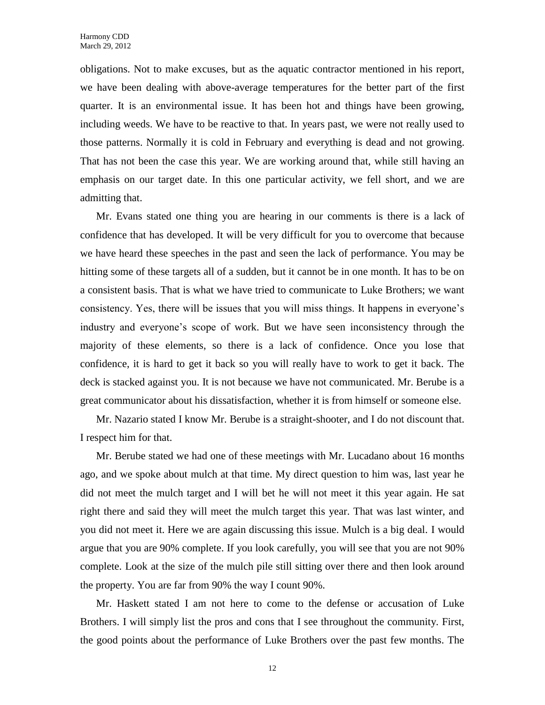obligations. Not to make excuses, but as the aquatic contractor mentioned in his report, we have been dealing with above-average temperatures for the better part of the first quarter. It is an environmental issue. It has been hot and things have been growing, including weeds. We have to be reactive to that. In years past, we were not really used to those patterns. Normally it is cold in February and everything is dead and not growing. That has not been the case this year. We are working around that, while still having an emphasis on our target date. In this one particular activity, we fell short, and we are admitting that.

Mr. Evans stated one thing you are hearing in our comments is there is a lack of confidence that has developed. It will be very difficult for you to overcome that because we have heard these speeches in the past and seen the lack of performance. You may be hitting some of these targets all of a sudden, but it cannot be in one month. It has to be on a consistent basis. That is what we have tried to communicate to Luke Brothers; we want consistency. Yes, there will be issues that you will miss things. It happens in everyone's industry and everyone's scope of work. But we have seen inconsistency through the majority of these elements, so there is a lack of confidence. Once you lose that confidence, it is hard to get it back so you will really have to work to get it back. The deck is stacked against you. It is not because we have not communicated. Mr. Berube is a great communicator about his dissatisfaction, whether it is from himself or someone else.

Mr. Nazario stated I know Mr. Berube is a straight-shooter, and I do not discount that. I respect him for that.

Mr. Berube stated we had one of these meetings with Mr. Lucadano about 16 months ago, and we spoke about mulch at that time. My direct question to him was, last year he did not meet the mulch target and I will bet he will not meet it this year again. He sat right there and said they will meet the mulch target this year. That was last winter, and you did not meet it. Here we are again discussing this issue. Mulch is a big deal. I would argue that you are 90% complete. If you look carefully, you will see that you are not 90% complete. Look at the size of the mulch pile still sitting over there and then look around the property. You are far from 90% the way I count 90%.

Mr. Haskett stated I am not here to come to the defense or accusation of Luke Brothers. I will simply list the pros and cons that I see throughout the community. First, the good points about the performance of Luke Brothers over the past few months. The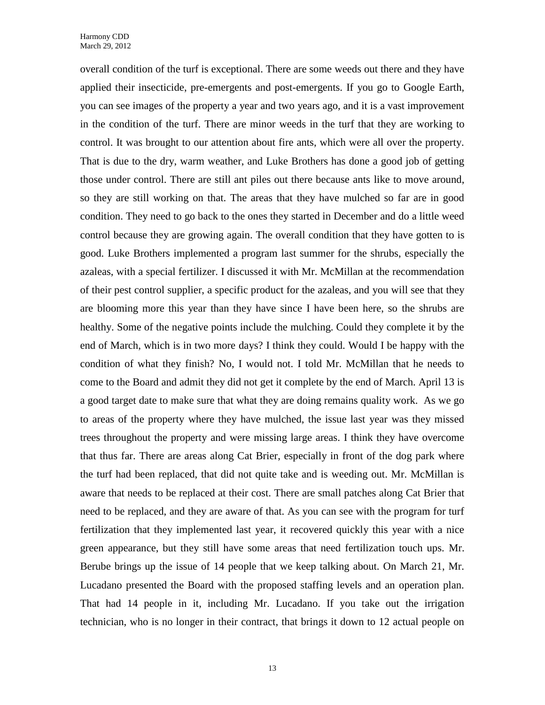overall condition of the turf is exceptional. There are some weeds out there and they have applied their insecticide, pre-emergents and post-emergents. If you go to Google Earth, you can see images of the property a year and two years ago, and it is a vast improvement in the condition of the turf. There are minor weeds in the turf that they are working to control. It was brought to our attention about fire ants, which were all over the property. That is due to the dry, warm weather, and Luke Brothers has done a good job of getting those under control. There are still ant piles out there because ants like to move around, so they are still working on that. The areas that they have mulched so far are in good condition. They need to go back to the ones they started in December and do a little weed control because they are growing again. The overall condition that they have gotten to is good. Luke Brothers implemented a program last summer for the shrubs, especially the azaleas, with a special fertilizer. I discussed it with Mr. McMillan at the recommendation of their pest control supplier, a specific product for the azaleas, and you will see that they are blooming more this year than they have since I have been here, so the shrubs are healthy. Some of the negative points include the mulching. Could they complete it by the end of March, which is in two more days? I think they could. Would I be happy with the condition of what they finish? No, I would not. I told Mr. McMillan that he needs to come to the Board and admit they did not get it complete by the end of March. April 13 is a good target date to make sure that what they are doing remains quality work. As we go to areas of the property where they have mulched, the issue last year was they missed trees throughout the property and were missing large areas. I think they have overcome that thus far. There are areas along Cat Brier, especially in front of the dog park where the turf had been replaced, that did not quite take and is weeding out. Mr. McMillan is aware that needs to be replaced at their cost. There are small patches along Cat Brier that need to be replaced, and they are aware of that. As you can see with the program for turf fertilization that they implemented last year, it recovered quickly this year with a nice green appearance, but they still have some areas that need fertilization touch ups. Mr. Berube brings up the issue of 14 people that we keep talking about. On March 21, Mr. Lucadano presented the Board with the proposed staffing levels and an operation plan. That had 14 people in it, including Mr. Lucadano. If you take out the irrigation technician, who is no longer in their contract, that brings it down to 12 actual people on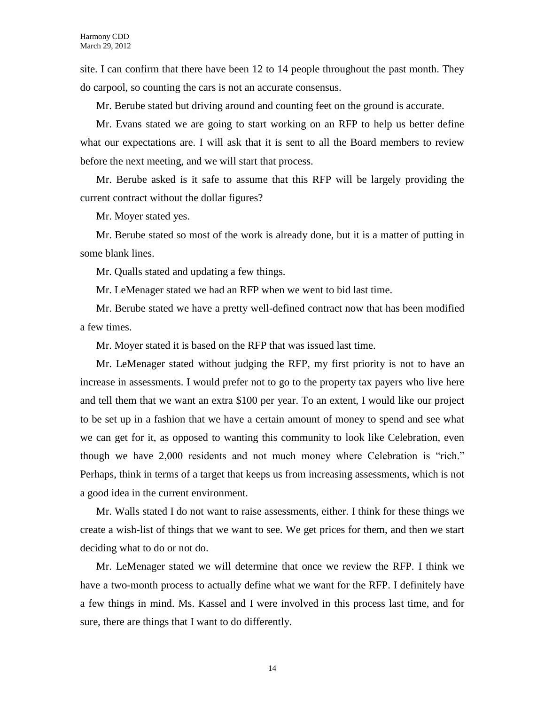site. I can confirm that there have been 12 to 14 people throughout the past month. They do carpool, so counting the cars is not an accurate consensus.

Mr. Berube stated but driving around and counting feet on the ground is accurate.

Mr. Evans stated we are going to start working on an RFP to help us better define what our expectations are. I will ask that it is sent to all the Board members to review before the next meeting, and we will start that process.

Mr. Berube asked is it safe to assume that this RFP will be largely providing the current contract without the dollar figures?

Mr. Moyer stated yes.

Mr. Berube stated so most of the work is already done, but it is a matter of putting in some blank lines.

Mr. Qualls stated and updating a few things.

Mr. LeMenager stated we had an RFP when we went to bid last time.

Mr. Berube stated we have a pretty well-defined contract now that has been modified a few times.

Mr. Moyer stated it is based on the RFP that was issued last time.

Mr. LeMenager stated without judging the RFP, my first priority is not to have an increase in assessments. I would prefer not to go to the property tax payers who live here and tell them that we want an extra \$100 per year. To an extent, I would like our project to be set up in a fashion that we have a certain amount of money to spend and see what we can get for it, as opposed to wanting this community to look like Celebration, even though we have 2,000 residents and not much money where Celebration is "rich." Perhaps, think in terms of a target that keeps us from increasing assessments, which is not a good idea in the current environment.

Mr. Walls stated I do not want to raise assessments, either. I think for these things we create a wish-list of things that we want to see. We get prices for them, and then we start deciding what to do or not do.

Mr. LeMenager stated we will determine that once we review the RFP. I think we have a two-month process to actually define what we want for the RFP. I definitely have a few things in mind. Ms. Kassel and I were involved in this process last time, and for sure, there are things that I want to do differently.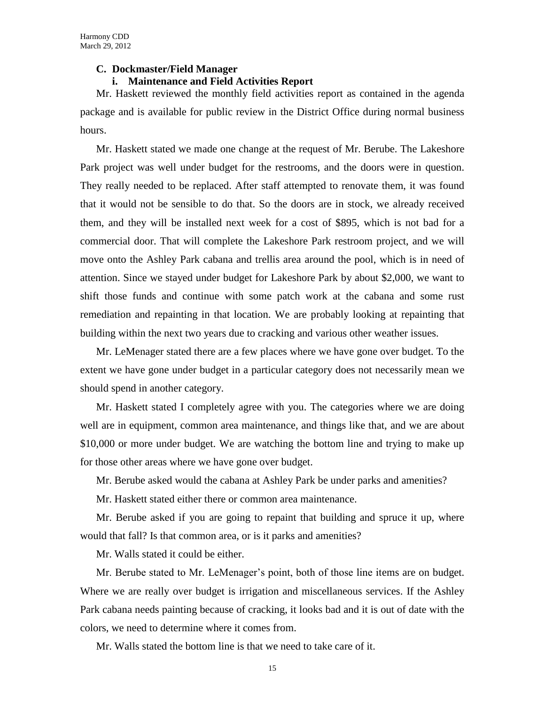#### **C. Dockmaster/Field Manager**

#### **i. Maintenance and Field Activities Report**

Mr. Haskett reviewed the monthly field activities report as contained in the agenda package and is available for public review in the District Office during normal business hours.

Mr. Haskett stated we made one change at the request of Mr. Berube. The Lakeshore Park project was well under budget for the restrooms, and the doors were in question. They really needed to be replaced. After staff attempted to renovate them, it was found that it would not be sensible to do that. So the doors are in stock, we already received them, and they will be installed next week for a cost of \$895, which is not bad for a commercial door. That will complete the Lakeshore Park restroom project, and we will move onto the Ashley Park cabana and trellis area around the pool, which is in need of attention. Since we stayed under budget for Lakeshore Park by about \$2,000, we want to shift those funds and continue with some patch work at the cabana and some rust remediation and repainting in that location. We are probably looking at repainting that building within the next two years due to cracking and various other weather issues.

Mr. LeMenager stated there are a few places where we have gone over budget. To the extent we have gone under budget in a particular category does not necessarily mean we should spend in another category.

Mr. Haskett stated I completely agree with you. The categories where we are doing well are in equipment, common area maintenance, and things like that, and we are about \$10,000 or more under budget. We are watching the bottom line and trying to make up for those other areas where we have gone over budget.

Mr. Berube asked would the cabana at Ashley Park be under parks and amenities?

Mr. Haskett stated either there or common area maintenance.

Mr. Berube asked if you are going to repaint that building and spruce it up, where would that fall? Is that common area, or is it parks and amenities?

Mr. Walls stated it could be either.

Mr. Berube stated to Mr. LeMenager's point, both of those line items are on budget. Where we are really over budget is irrigation and miscellaneous services. If the Ashley Park cabana needs painting because of cracking, it looks bad and it is out of date with the colors, we need to determine where it comes from.

Mr. Walls stated the bottom line is that we need to take care of it.

15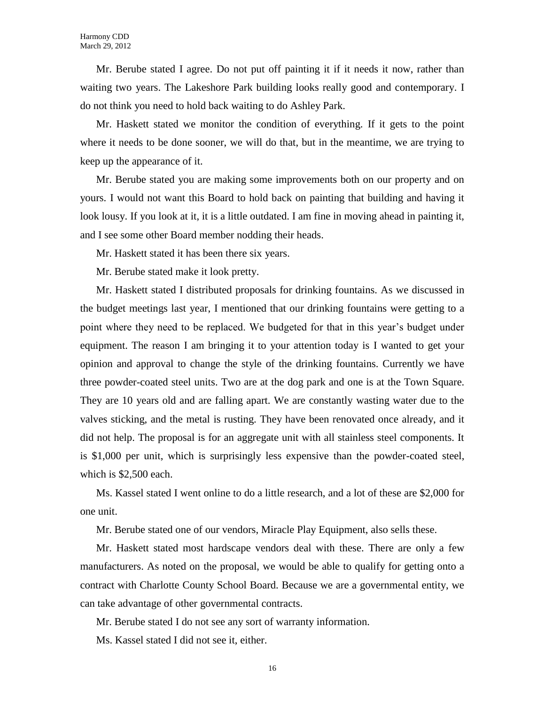Mr. Berube stated I agree. Do not put off painting it if it needs it now, rather than waiting two years. The Lakeshore Park building looks really good and contemporary. I do not think you need to hold back waiting to do Ashley Park.

Mr. Haskett stated we monitor the condition of everything. If it gets to the point where it needs to be done sooner, we will do that, but in the meantime, we are trying to keep up the appearance of it.

Mr. Berube stated you are making some improvements both on our property and on yours. I would not want this Board to hold back on painting that building and having it look lousy. If you look at it, it is a little outdated. I am fine in moving ahead in painting it, and I see some other Board member nodding their heads.

Mr. Haskett stated it has been there six years.

Mr. Berube stated make it look pretty.

Mr. Haskett stated I distributed proposals for drinking fountains. As we discussed in the budget meetings last year, I mentioned that our drinking fountains were getting to a point where they need to be replaced. We budgeted for that in this year's budget under equipment. The reason I am bringing it to your attention today is I wanted to get your opinion and approval to change the style of the drinking fountains. Currently we have three powder-coated steel units. Two are at the dog park and one is at the Town Square. They are 10 years old and are falling apart. We are constantly wasting water due to the valves sticking, and the metal is rusting. They have been renovated once already, and it did not help. The proposal is for an aggregate unit with all stainless steel components. It is \$1,000 per unit, which is surprisingly less expensive than the powder-coated steel, which is \$2,500 each.

Ms. Kassel stated I went online to do a little research, and a lot of these are \$2,000 for one unit.

Mr. Berube stated one of our vendors, Miracle Play Equipment, also sells these.

Mr. Haskett stated most hardscape vendors deal with these. There are only a few manufacturers. As noted on the proposal, we would be able to qualify for getting onto a contract with Charlotte County School Board. Because we are a governmental entity, we can take advantage of other governmental contracts.

Mr. Berube stated I do not see any sort of warranty information.

Ms. Kassel stated I did not see it, either.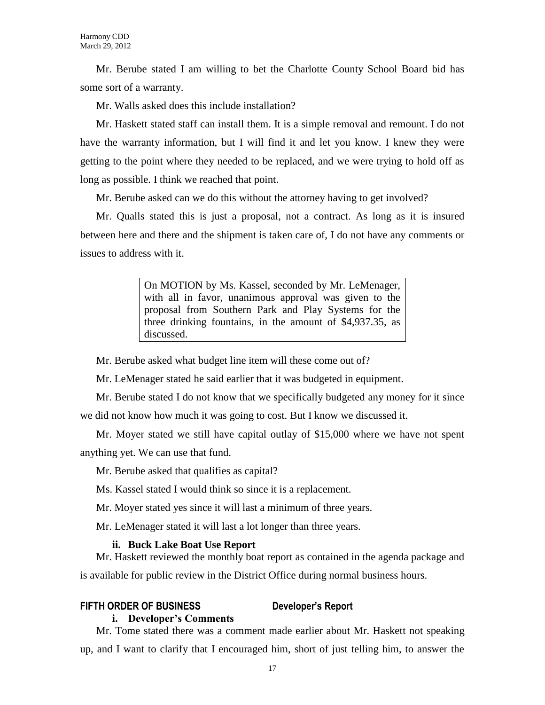Mr. Berube stated I am willing to bet the Charlotte County School Board bid has some sort of a warranty.

Mr. Walls asked does this include installation?

Mr. Haskett stated staff can install them. It is a simple removal and remount. I do not have the warranty information, but I will find it and let you know. I knew they were getting to the point where they needed to be replaced, and we were trying to hold off as long as possible. I think we reached that point.

Mr. Berube asked can we do this without the attorney having to get involved?

Mr. Qualls stated this is just a proposal, not a contract. As long as it is insured between here and there and the shipment is taken care of, I do not have any comments or issues to address with it.

> On MOTION by Ms. Kassel, seconded by Mr. LeMenager, with all in favor, unanimous approval was given to the proposal from Southern Park and Play Systems for the three drinking fountains, in the amount of \$4,937.35, as discussed.

Mr. Berube asked what budget line item will these come out of?

Mr. LeMenager stated he said earlier that it was budgeted in equipment.

Mr. Berube stated I do not know that we specifically budgeted any money for it since we did not know how much it was going to cost. But I know we discussed it.

Mr. Moyer stated we still have capital outlay of \$15,000 where we have not spent anything yet. We can use that fund.

Mr. Berube asked that qualifies as capital?

Ms. Kassel stated I would think so since it is a replacement.

Mr. Moyer stated yes since it will last a minimum of three years.

Mr. LeMenager stated it will last a lot longer than three years.

#### **ii. Buck Lake Boat Use Report**

Mr. Haskett reviewed the monthly boat report as contained in the agenda package and is available for public review in the District Office during normal business hours.

### **FIFTH ORDER OF BUSINESS Developer's Report**

#### **i. Developer's Comments**

Mr. Tome stated there was a comment made earlier about Mr. Haskett not speaking up, and I want to clarify that I encouraged him, short of just telling him, to answer the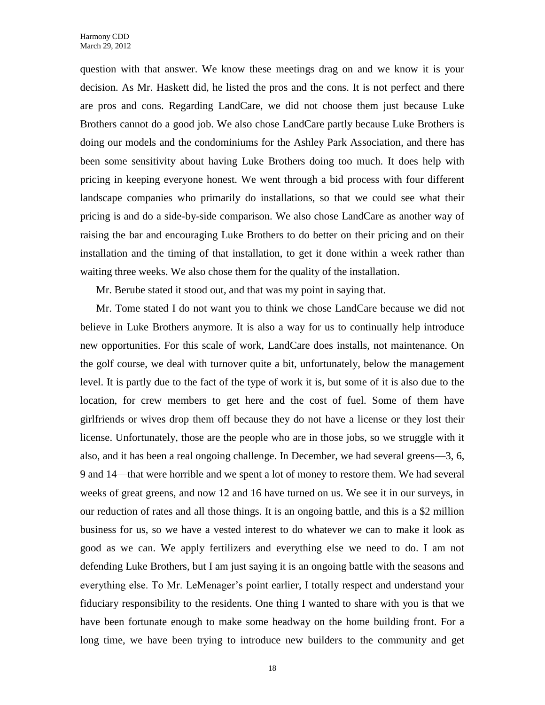question with that answer. We know these meetings drag on and we know it is your decision. As Mr. Haskett did, he listed the pros and the cons. It is not perfect and there are pros and cons. Regarding LandCare, we did not choose them just because Luke Brothers cannot do a good job. We also chose LandCare partly because Luke Brothers is doing our models and the condominiums for the Ashley Park Association, and there has been some sensitivity about having Luke Brothers doing too much. It does help with pricing in keeping everyone honest. We went through a bid process with four different landscape companies who primarily do installations, so that we could see what their pricing is and do a side-by-side comparison. We also chose LandCare as another way of raising the bar and encouraging Luke Brothers to do better on their pricing and on their installation and the timing of that installation, to get it done within a week rather than waiting three weeks. We also chose them for the quality of the installation.

Mr. Berube stated it stood out, and that was my point in saying that.

Mr. Tome stated I do not want you to think we chose LandCare because we did not believe in Luke Brothers anymore. It is also a way for us to continually help introduce new opportunities. For this scale of work, LandCare does installs, not maintenance. On the golf course, we deal with turnover quite a bit, unfortunately, below the management level. It is partly due to the fact of the type of work it is, but some of it is also due to the location, for crew members to get here and the cost of fuel. Some of them have girlfriends or wives drop them off because they do not have a license or they lost their license. Unfortunately, those are the people who are in those jobs, so we struggle with it also, and it has been a real ongoing challenge. In December, we had several greens—3, 6, 9 and 14—that were horrible and we spent a lot of money to restore them. We had several weeks of great greens, and now 12 and 16 have turned on us. We see it in our surveys, in our reduction of rates and all those things. It is an ongoing battle, and this is a \$2 million business for us, so we have a vested interest to do whatever we can to make it look as good as we can. We apply fertilizers and everything else we need to do. I am not defending Luke Brothers, but I am just saying it is an ongoing battle with the seasons and everything else. To Mr. LeMenager's point earlier, I totally respect and understand your fiduciary responsibility to the residents. One thing I wanted to share with you is that we have been fortunate enough to make some headway on the home building front. For a long time, we have been trying to introduce new builders to the community and get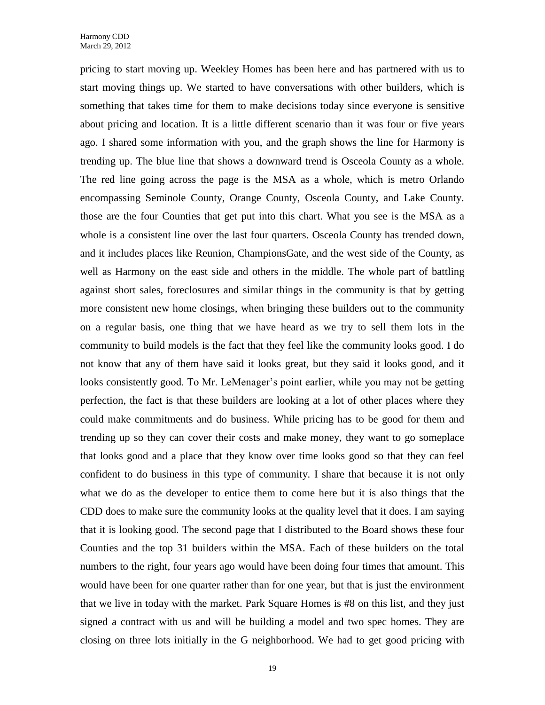pricing to start moving up. Weekley Homes has been here and has partnered with us to start moving things up. We started to have conversations with other builders, which is something that takes time for them to make decisions today since everyone is sensitive about pricing and location. It is a little different scenario than it was four or five years ago. I shared some information with you, and the graph shows the line for Harmony is trending up. The blue line that shows a downward trend is Osceola County as a whole. The red line going across the page is the MSA as a whole, which is metro Orlando encompassing Seminole County, Orange County, Osceola County, and Lake County. those are the four Counties that get put into this chart. What you see is the MSA as a whole is a consistent line over the last four quarters. Osceola County has trended down, and it includes places like Reunion, ChampionsGate, and the west side of the County, as well as Harmony on the east side and others in the middle. The whole part of battling against short sales, foreclosures and similar things in the community is that by getting more consistent new home closings, when bringing these builders out to the community on a regular basis, one thing that we have heard as we try to sell them lots in the community to build models is the fact that they feel like the community looks good. I do not know that any of them have said it looks great, but they said it looks good, and it looks consistently good. To Mr. LeMenager's point earlier, while you may not be getting perfection, the fact is that these builders are looking at a lot of other places where they could make commitments and do business. While pricing has to be good for them and trending up so they can cover their costs and make money, they want to go someplace that looks good and a place that they know over time looks good so that they can feel confident to do business in this type of community. I share that because it is not only what we do as the developer to entice them to come here but it is also things that the CDD does to make sure the community looks at the quality level that it does. I am saying that it is looking good. The second page that I distributed to the Board shows these four Counties and the top 31 builders within the MSA. Each of these builders on the total numbers to the right, four years ago would have been doing four times that amount. This would have been for one quarter rather than for one year, but that is just the environment that we live in today with the market. Park Square Homes is #8 on this list, and they just signed a contract with us and will be building a model and two spec homes. They are closing on three lots initially in the G neighborhood. We had to get good pricing with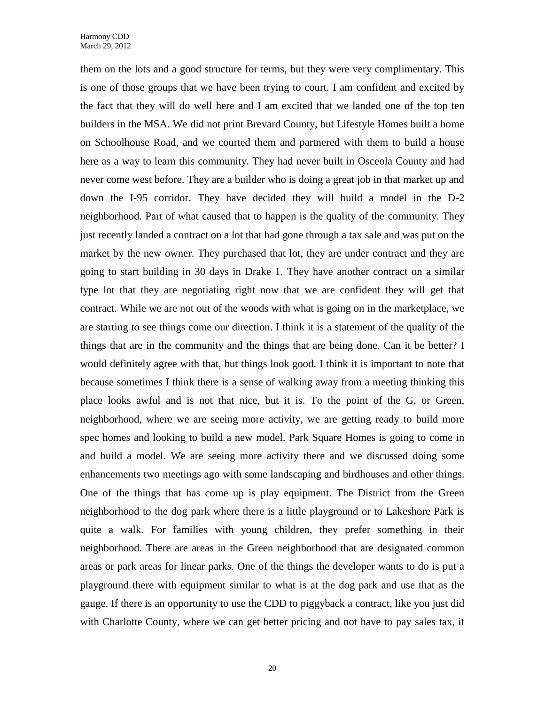them on the lots and a good structure for terms, but they were very complimentary. This is one of those groups that we have been trying to court. I am confident and excited by the fact that they will do well here and I am excited that we landed one of the top ten builders in the MSA. We did not print Brevard County, but Lifestyle Homes built a home on Schoolhouse Road, and we courted them and partnered with them to build a house here as a way to learn this community. They had never built in Osceola County and had never come west before. They are a builder who is doing a great job in that market up and down the I-95 corridor. They have decided they will build a model in the D-2 neighborhood. Part of what caused that to happen is the quality of the community. They just recently landed a contract on a lot that had gone through a tax sale and was put on the market by the new owner. They purchased that lot, they are under contract and they are going to start building in 30 days in Drake 1. They have another contract on a similar type lot that they are negotiating right now that we are confident they will get that contract. While we are not out of the woods with what is going on in the marketplace, we are starting to see things come our direction. I think it is a statement of the quality of the things that are in the community and the things that are being done. Can it be better? I would definitely agree with that, but things look good. I think it is important to note that because sometimes I think there is a sense of walking away from a meeting thinking this place looks awful and is not that nice, but it is. To the point of the G, or Green, neighborhood, where we are seeing more activity, we are getting ready to build more spec homes and looking to build a new model. Park Square Homes is going to come in and build a model. We are seeing more activity there and we discussed doing some enhancements two meetings ago with some landscaping and birdhouses and other things. One of the things that has come up is play equipment. The District from the Green neighborhood to the dog park where there is a little playground or to Lakeshore Park is quite a walk. For families with young children, they prefer something in their neighborhood. There are areas in the Green neighborhood that are designated common areas or park areas for linear parks. One of the things the developer wants to do is put a playground there with equipment similar to what is at the dog park and use that as the gauge. If there is an opportunity to use the CDD to piggyback a contract, like you just did with Charlotte County, where we can get better pricing and not have to pay sales tax, it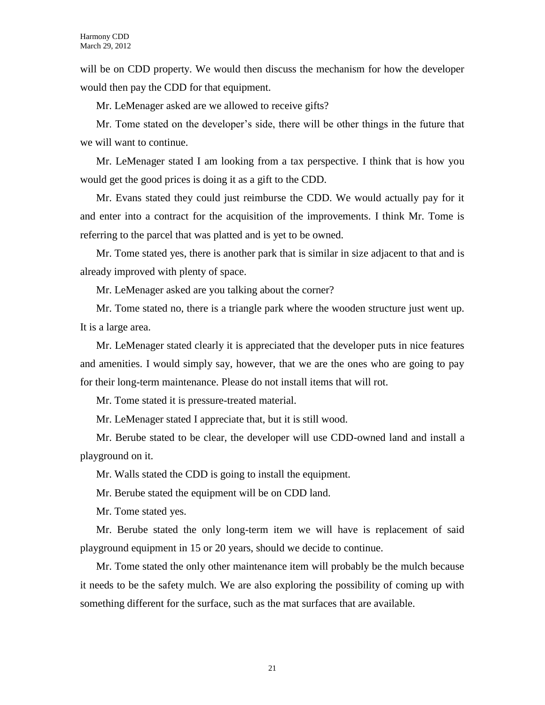will be on CDD property. We would then discuss the mechanism for how the developer would then pay the CDD for that equipment.

Mr. LeMenager asked are we allowed to receive gifts?

Mr. Tome stated on the developer's side, there will be other things in the future that we will want to continue.

Mr. LeMenager stated I am looking from a tax perspective. I think that is how you would get the good prices is doing it as a gift to the CDD.

Mr. Evans stated they could just reimburse the CDD. We would actually pay for it and enter into a contract for the acquisition of the improvements. I think Mr. Tome is referring to the parcel that was platted and is yet to be owned.

Mr. Tome stated yes, there is another park that is similar in size adjacent to that and is already improved with plenty of space.

Mr. LeMenager asked are you talking about the corner?

Mr. Tome stated no, there is a triangle park where the wooden structure just went up. It is a large area.

Mr. LeMenager stated clearly it is appreciated that the developer puts in nice features and amenities. I would simply say, however, that we are the ones who are going to pay for their long-term maintenance. Please do not install items that will rot.

Mr. Tome stated it is pressure-treated material.

Mr. LeMenager stated I appreciate that, but it is still wood.

Mr. Berube stated to be clear, the developer will use CDD-owned land and install a playground on it.

Mr. Walls stated the CDD is going to install the equipment.

Mr. Berube stated the equipment will be on CDD land.

Mr. Tome stated yes.

Mr. Berube stated the only long-term item we will have is replacement of said playground equipment in 15 or 20 years, should we decide to continue.

Mr. Tome stated the only other maintenance item will probably be the mulch because it needs to be the safety mulch. We are also exploring the possibility of coming up with something different for the surface, such as the mat surfaces that are available.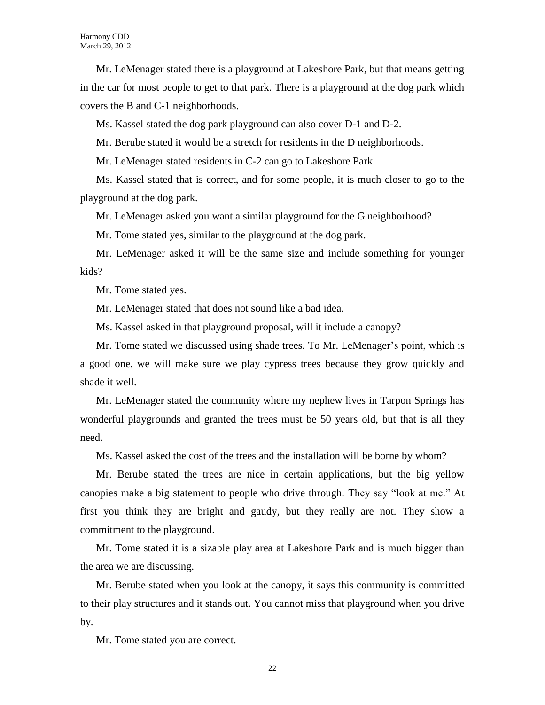Mr. LeMenager stated there is a playground at Lakeshore Park, but that means getting in the car for most people to get to that park. There is a playground at the dog park which covers the B and C-1 neighborhoods.

Ms. Kassel stated the dog park playground can also cover D-1 and D-2.

Mr. Berube stated it would be a stretch for residents in the D neighborhoods.

Mr. LeMenager stated residents in C-2 can go to Lakeshore Park.

Ms. Kassel stated that is correct, and for some people, it is much closer to go to the playground at the dog park.

Mr. LeMenager asked you want a similar playground for the G neighborhood?

Mr. Tome stated yes, similar to the playground at the dog park.

Mr. LeMenager asked it will be the same size and include something for younger kids?

Mr. Tome stated yes.

Mr. LeMenager stated that does not sound like a bad idea.

Ms. Kassel asked in that playground proposal, will it include a canopy?

Mr. Tome stated we discussed using shade trees. To Mr. LeMenager's point, which is a good one, we will make sure we play cypress trees because they grow quickly and shade it well.

Mr. LeMenager stated the community where my nephew lives in Tarpon Springs has wonderful playgrounds and granted the trees must be 50 years old, but that is all they need.

Ms. Kassel asked the cost of the trees and the installation will be borne by whom?

Mr. Berube stated the trees are nice in certain applications, but the big yellow canopies make a big statement to people who drive through. They say "look at me." At first you think they are bright and gaudy, but they really are not. They show a commitment to the playground.

Mr. Tome stated it is a sizable play area at Lakeshore Park and is much bigger than the area we are discussing.

Mr. Berube stated when you look at the canopy, it says this community is committed to their play structures and it stands out. You cannot miss that playground when you drive by.

Mr. Tome stated you are correct.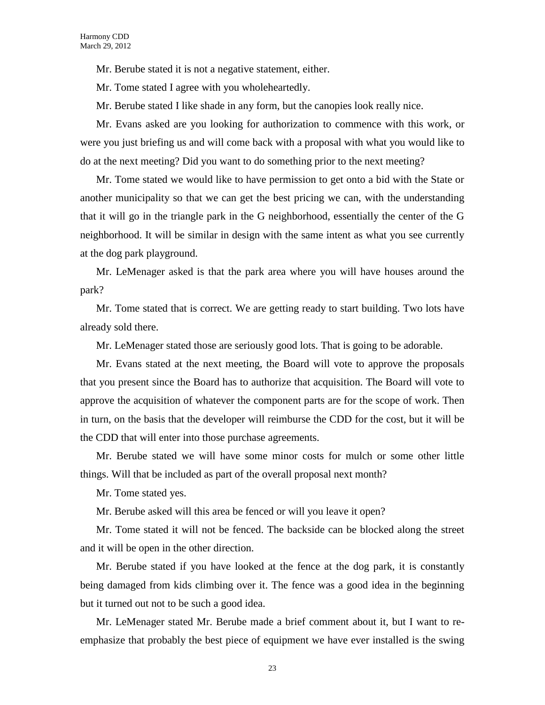Mr. Berube stated it is not a negative statement, either.

Mr. Tome stated I agree with you wholeheartedly.

Mr. Berube stated I like shade in any form, but the canopies look really nice.

Mr. Evans asked are you looking for authorization to commence with this work, or were you just briefing us and will come back with a proposal with what you would like to do at the next meeting? Did you want to do something prior to the next meeting?

Mr. Tome stated we would like to have permission to get onto a bid with the State or another municipality so that we can get the best pricing we can, with the understanding that it will go in the triangle park in the G neighborhood, essentially the center of the G neighborhood. It will be similar in design with the same intent as what you see currently at the dog park playground.

Mr. LeMenager asked is that the park area where you will have houses around the park?

Mr. Tome stated that is correct. We are getting ready to start building. Two lots have already sold there.

Mr. LeMenager stated those are seriously good lots. That is going to be adorable.

Mr. Evans stated at the next meeting, the Board will vote to approve the proposals that you present since the Board has to authorize that acquisition. The Board will vote to approve the acquisition of whatever the component parts are for the scope of work. Then in turn, on the basis that the developer will reimburse the CDD for the cost, but it will be the CDD that will enter into those purchase agreements.

Mr. Berube stated we will have some minor costs for mulch or some other little things. Will that be included as part of the overall proposal next month?

Mr. Tome stated yes.

Mr. Berube asked will this area be fenced or will you leave it open?

Mr. Tome stated it will not be fenced. The backside can be blocked along the street and it will be open in the other direction.

Mr. Berube stated if you have looked at the fence at the dog park, it is constantly being damaged from kids climbing over it. The fence was a good idea in the beginning but it turned out not to be such a good idea.

Mr. LeMenager stated Mr. Berube made a brief comment about it, but I want to reemphasize that probably the best piece of equipment we have ever installed is the swing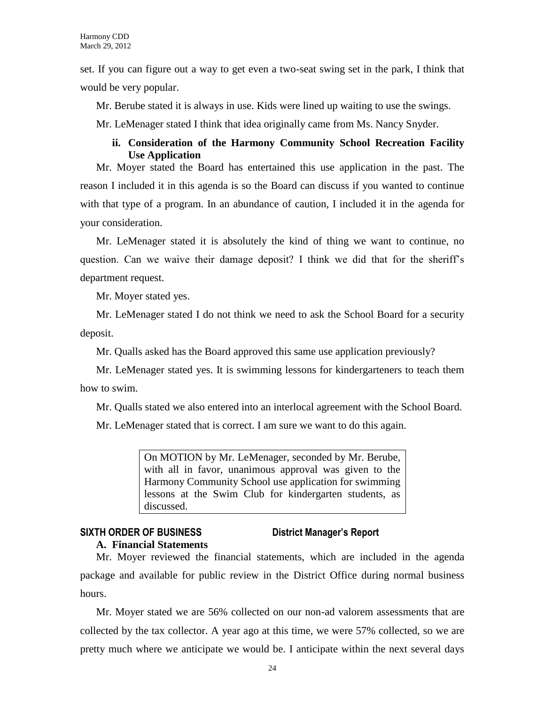set. If you can figure out a way to get even a two-seat swing set in the park, I think that would be very popular.

Mr. Berube stated it is always in use. Kids were lined up waiting to use the swings.

Mr. LeMenager stated I think that idea originally came from Ms. Nancy Snyder.

### **ii. Consideration of the Harmony Community School Recreation Facility Use Application**

Mr. Moyer stated the Board has entertained this use application in the past. The reason I included it in this agenda is so the Board can discuss if you wanted to continue with that type of a program. In an abundance of caution, I included it in the agenda for your consideration.

Mr. LeMenager stated it is absolutely the kind of thing we want to continue, no question. Can we waive their damage deposit? I think we did that for the sheriff's department request.

Mr. Moyer stated yes.

Mr. LeMenager stated I do not think we need to ask the School Board for a security deposit.

Mr. Qualls asked has the Board approved this same use application previously?

Mr. LeMenager stated yes. It is swimming lessons for kindergarteners to teach them how to swim.

Mr. Qualls stated we also entered into an interlocal agreement with the School Board.

Mr. LeMenager stated that is correct. I am sure we want to do this again.

On MOTION by Mr. LeMenager, seconded by Mr. Berube, with all in favor, unanimous approval was given to the Harmony Community School use application for swimming lessons at the Swim Club for kindergarten students, as discussed.

# **SIXTH ORDER OF BUSINESS District Manager's Report**

**A. Financial Statements**

Mr. Moyer reviewed the financial statements, which are included in the agenda package and available for public review in the District Office during normal business hours.

Mr. Moyer stated we are 56% collected on our non-ad valorem assessments that are collected by the tax collector. A year ago at this time, we were 57% collected, so we are pretty much where we anticipate we would be. I anticipate within the next several days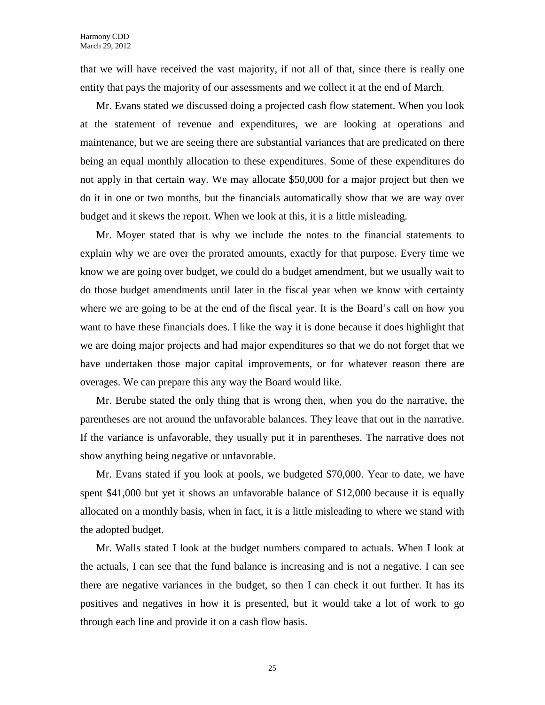that we will have received the vast majority, if not all of that, since there is really one entity that pays the majority of our assessments and we collect it at the end of March.

Mr. Evans stated we discussed doing a projected cash flow statement. When you look at the statement of revenue and expenditures, we are looking at operations and maintenance, but we are seeing there are substantial variances that are predicated on there being an equal monthly allocation to these expenditures. Some of these expenditures do not apply in that certain way. We may allocate \$50,000 for a major project but then we do it in one or two months, but the financials automatically show that we are way over budget and it skews the report. When we look at this, it is a little misleading.

Mr. Moyer stated that is why we include the notes to the financial statements to explain why we are over the prorated amounts, exactly for that purpose. Every time we know we are going over budget, we could do a budget amendment, but we usually wait to do those budget amendments until later in the fiscal year when we know with certainty where we are going to be at the end of the fiscal year. It is the Board's call on how you want to have these financials does. I like the way it is done because it does highlight that we are doing major projects and had major expenditures so that we do not forget that we have undertaken those major capital improvements, or for whatever reason there are overages. We can prepare this any way the Board would like.

Mr. Berube stated the only thing that is wrong then, when you do the narrative, the parentheses are not around the unfavorable balances. They leave that out in the narrative. If the variance is unfavorable, they usually put it in parentheses. The narrative does not show anything being negative or unfavorable.

Mr. Evans stated if you look at pools, we budgeted \$70,000. Year to date, we have spent \$41,000 but yet it shows an unfavorable balance of \$12,000 because it is equally allocated on a monthly basis, when in fact, it is a little misleading to where we stand with the adopted budget.

Mr. Walls stated I look at the budget numbers compared to actuals. When I look at the actuals, I can see that the fund balance is increasing and is not a negative. I can see there are negative variances in the budget, so then I can check it out further. It has its positives and negatives in how it is presented, but it would take a lot of work to go through each line and provide it on a cash flow basis.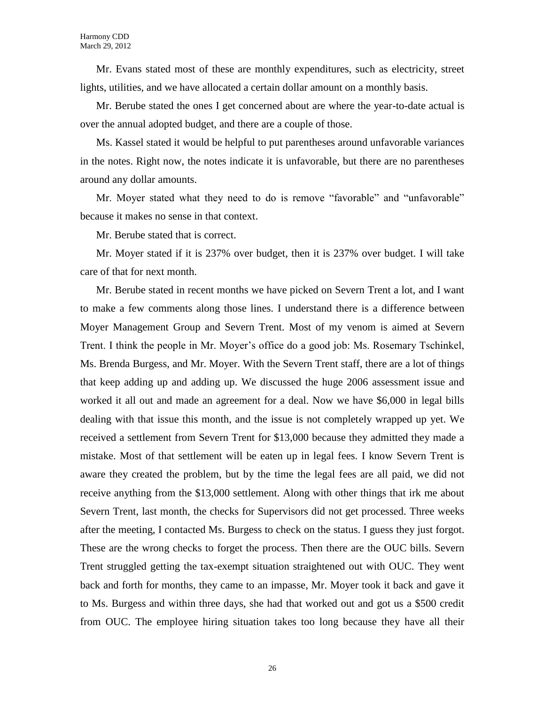Mr. Evans stated most of these are monthly expenditures, such as electricity, street lights, utilities, and we have allocated a certain dollar amount on a monthly basis.

Mr. Berube stated the ones I get concerned about are where the year-to-date actual is over the annual adopted budget, and there are a couple of those.

Ms. Kassel stated it would be helpful to put parentheses around unfavorable variances in the notes. Right now, the notes indicate it is unfavorable, but there are no parentheses around any dollar amounts.

Mr. Moyer stated what they need to do is remove "favorable" and "unfavorable" because it makes no sense in that context.

Mr. Berube stated that is correct.

Mr. Moyer stated if it is 237% over budget, then it is 237% over budget. I will take care of that for next month.

Mr. Berube stated in recent months we have picked on Severn Trent a lot, and I want to make a few comments along those lines. I understand there is a difference between Moyer Management Group and Severn Trent. Most of my venom is aimed at Severn Trent. I think the people in Mr. Moyer's office do a good job: Ms. Rosemary Tschinkel, Ms. Brenda Burgess, and Mr. Moyer. With the Severn Trent staff, there are a lot of things that keep adding up and adding up. We discussed the huge 2006 assessment issue and worked it all out and made an agreement for a deal. Now we have \$6,000 in legal bills dealing with that issue this month, and the issue is not completely wrapped up yet. We received a settlement from Severn Trent for \$13,000 because they admitted they made a mistake. Most of that settlement will be eaten up in legal fees. I know Severn Trent is aware they created the problem, but by the time the legal fees are all paid, we did not receive anything from the \$13,000 settlement. Along with other things that irk me about Severn Trent, last month, the checks for Supervisors did not get processed. Three weeks after the meeting, I contacted Ms. Burgess to check on the status. I guess they just forgot. These are the wrong checks to forget the process. Then there are the OUC bills. Severn Trent struggled getting the tax-exempt situation straightened out with OUC. They went back and forth for months, they came to an impasse, Mr. Moyer took it back and gave it to Ms. Burgess and within three days, she had that worked out and got us a \$500 credit from OUC. The employee hiring situation takes too long because they have all their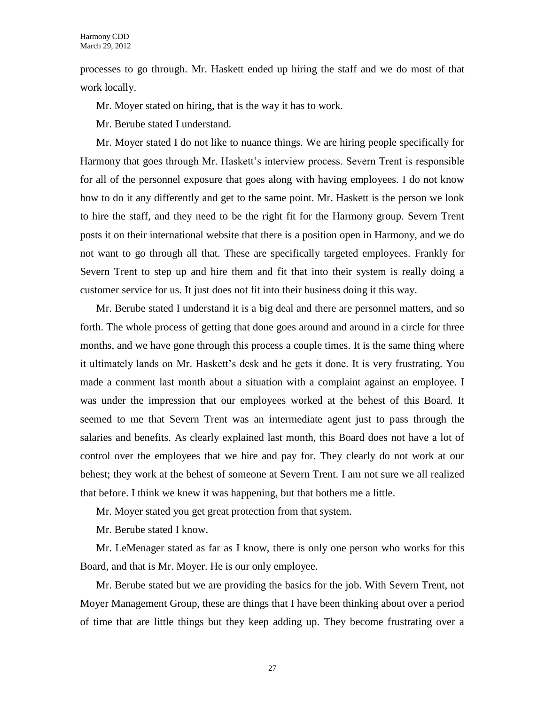processes to go through. Mr. Haskett ended up hiring the staff and we do most of that work locally.

Mr. Moyer stated on hiring, that is the way it has to work.

Mr. Berube stated I understand.

Mr. Moyer stated I do not like to nuance things. We are hiring people specifically for Harmony that goes through Mr. Haskett's interview process. Severn Trent is responsible for all of the personnel exposure that goes along with having employees. I do not know how to do it any differently and get to the same point. Mr. Haskett is the person we look to hire the staff, and they need to be the right fit for the Harmony group. Severn Trent posts it on their international website that there is a position open in Harmony, and we do not want to go through all that. These are specifically targeted employees. Frankly for Severn Trent to step up and hire them and fit that into their system is really doing a customer service for us. It just does not fit into their business doing it this way.

Mr. Berube stated I understand it is a big deal and there are personnel matters, and so forth. The whole process of getting that done goes around and around in a circle for three months, and we have gone through this process a couple times. It is the same thing where it ultimately lands on Mr. Haskett's desk and he gets it done. It is very frustrating. You made a comment last month about a situation with a complaint against an employee. I was under the impression that our employees worked at the behest of this Board. It seemed to me that Severn Trent was an intermediate agent just to pass through the salaries and benefits. As clearly explained last month, this Board does not have a lot of control over the employees that we hire and pay for. They clearly do not work at our behest; they work at the behest of someone at Severn Trent. I am not sure we all realized that before. I think we knew it was happening, but that bothers me a little.

Mr. Moyer stated you get great protection from that system.

Mr. Berube stated I know.

Mr. LeMenager stated as far as I know, there is only one person who works for this Board, and that is Mr. Moyer. He is our only employee.

Mr. Berube stated but we are providing the basics for the job. With Severn Trent, not Moyer Management Group, these are things that I have been thinking about over a period of time that are little things but they keep adding up. They become frustrating over a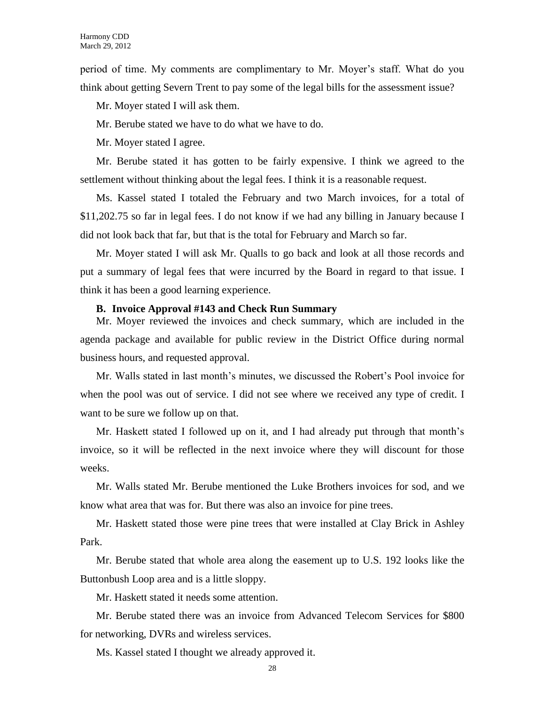period of time. My comments are complimentary to Mr. Moyer's staff. What do you think about getting Severn Trent to pay some of the legal bills for the assessment issue?

Mr. Moyer stated I will ask them.

Mr. Berube stated we have to do what we have to do.

Mr. Moyer stated I agree.

Mr. Berube stated it has gotten to be fairly expensive. I think we agreed to the settlement without thinking about the legal fees. I think it is a reasonable request.

Ms. Kassel stated I totaled the February and two March invoices, for a total of \$11,202.75 so far in legal fees. I do not know if we had any billing in January because I did not look back that far, but that is the total for February and March so far.

Mr. Moyer stated I will ask Mr. Qualls to go back and look at all those records and put a summary of legal fees that were incurred by the Board in regard to that issue. I think it has been a good learning experience.

#### **B. Invoice Approval #143 and Check Run Summary**

Mr. Moyer reviewed the invoices and check summary, which are included in the agenda package and available for public review in the District Office during normal business hours, and requested approval.

Mr. Walls stated in last month's minutes, we discussed the Robert's Pool invoice for when the pool was out of service. I did not see where we received any type of credit. I want to be sure we follow up on that.

Mr. Haskett stated I followed up on it, and I had already put through that month's invoice, so it will be reflected in the next invoice where they will discount for those weeks.

Mr. Walls stated Mr. Berube mentioned the Luke Brothers invoices for sod, and we know what area that was for. But there was also an invoice for pine trees.

Mr. Haskett stated those were pine trees that were installed at Clay Brick in Ashley Park.

Mr. Berube stated that whole area along the easement up to U.S. 192 looks like the Buttonbush Loop area and is a little sloppy.

Mr. Haskett stated it needs some attention.

Mr. Berube stated there was an invoice from Advanced Telecom Services for \$800 for networking, DVRs and wireless services.

Ms. Kassel stated I thought we already approved it.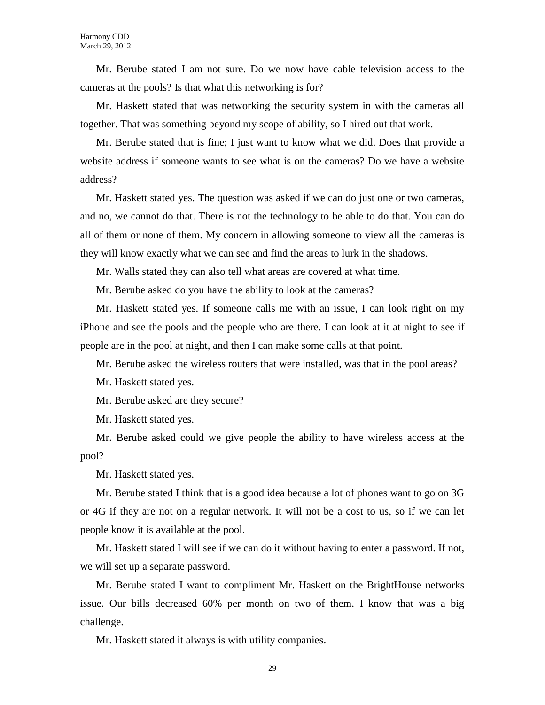Mr. Berube stated I am not sure. Do we now have cable television access to the cameras at the pools? Is that what this networking is for?

Mr. Haskett stated that was networking the security system in with the cameras all together. That was something beyond my scope of ability, so I hired out that work.

Mr. Berube stated that is fine; I just want to know what we did. Does that provide a website address if someone wants to see what is on the cameras? Do we have a website address?

Mr. Haskett stated yes. The question was asked if we can do just one or two cameras, and no, we cannot do that. There is not the technology to be able to do that. You can do all of them or none of them. My concern in allowing someone to view all the cameras is they will know exactly what we can see and find the areas to lurk in the shadows.

Mr. Walls stated they can also tell what areas are covered at what time.

Mr. Berube asked do you have the ability to look at the cameras?

Mr. Haskett stated yes. If someone calls me with an issue, I can look right on my iPhone and see the pools and the people who are there. I can look at it at night to see if people are in the pool at night, and then I can make some calls at that point.

Mr. Berube asked the wireless routers that were installed, was that in the pool areas?

Mr. Haskett stated yes.

Mr. Berube asked are they secure?

Mr. Haskett stated yes.

Mr. Berube asked could we give people the ability to have wireless access at the pool?

Mr. Haskett stated yes.

Mr. Berube stated I think that is a good idea because a lot of phones want to go on 3G or 4G if they are not on a regular network. It will not be a cost to us, so if we can let people know it is available at the pool.

Mr. Haskett stated I will see if we can do it without having to enter a password. If not, we will set up a separate password.

Mr. Berube stated I want to compliment Mr. Haskett on the BrightHouse networks issue. Our bills decreased 60% per month on two of them. I know that was a big challenge.

Mr. Haskett stated it always is with utility companies.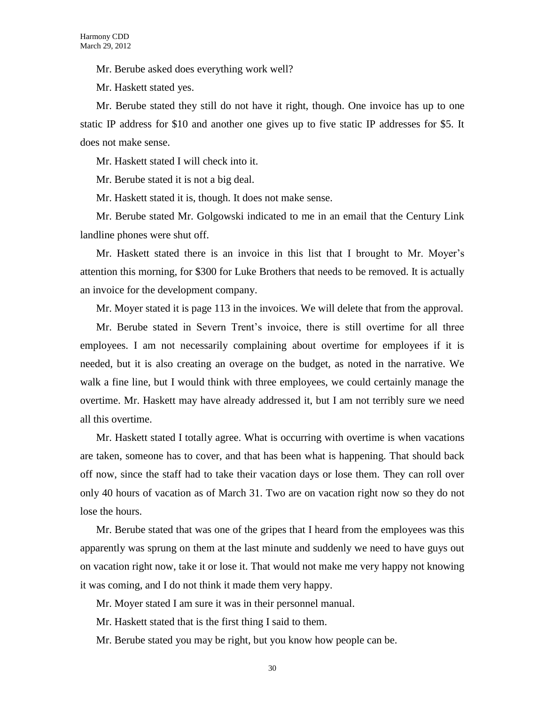Mr. Berube asked does everything work well?

Mr. Haskett stated yes.

Mr. Berube stated they still do not have it right, though. One invoice has up to one static IP address for \$10 and another one gives up to five static IP addresses for \$5. It does not make sense.

Mr. Haskett stated I will check into it.

Mr. Berube stated it is not a big deal.

Mr. Haskett stated it is, though. It does not make sense.

Mr. Berube stated Mr. Golgowski indicated to me in an email that the Century Link landline phones were shut off.

Mr. Haskett stated there is an invoice in this list that I brought to Mr. Moyer's attention this morning, for \$300 for Luke Brothers that needs to be removed. It is actually an invoice for the development company.

Mr. Moyer stated it is page 113 in the invoices. We will delete that from the approval.

Mr. Berube stated in Severn Trent's invoice, there is still overtime for all three employees. I am not necessarily complaining about overtime for employees if it is needed, but it is also creating an overage on the budget, as noted in the narrative. We walk a fine line, but I would think with three employees, we could certainly manage the overtime. Mr. Haskett may have already addressed it, but I am not terribly sure we need all this overtime.

Mr. Haskett stated I totally agree. What is occurring with overtime is when vacations are taken, someone has to cover, and that has been what is happening. That should back off now, since the staff had to take their vacation days or lose them. They can roll over only 40 hours of vacation as of March 31. Two are on vacation right now so they do not lose the hours.

Mr. Berube stated that was one of the gripes that I heard from the employees was this apparently was sprung on them at the last minute and suddenly we need to have guys out on vacation right now, take it or lose it. That would not make me very happy not knowing it was coming, and I do not think it made them very happy.

Mr. Moyer stated I am sure it was in their personnel manual.

Mr. Haskett stated that is the first thing I said to them.

Mr. Berube stated you may be right, but you know how people can be.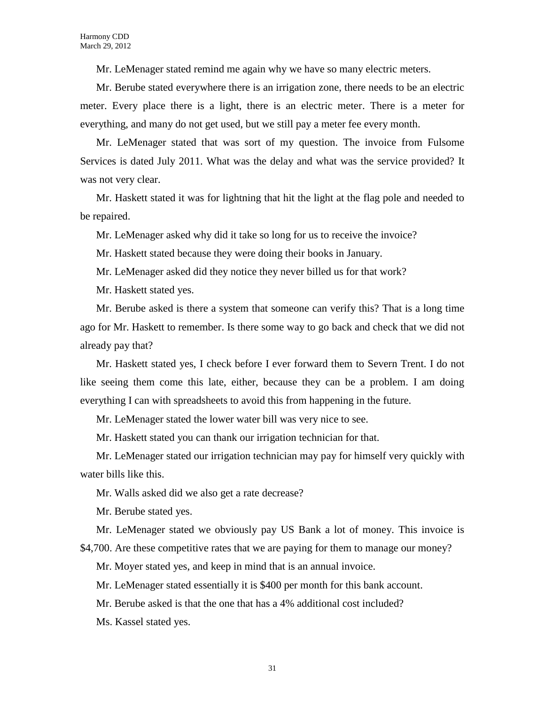Mr. LeMenager stated remind me again why we have so many electric meters.

Mr. Berube stated everywhere there is an irrigation zone, there needs to be an electric meter. Every place there is a light, there is an electric meter. There is a meter for everything, and many do not get used, but we still pay a meter fee every month.

Mr. LeMenager stated that was sort of my question. The invoice from Fulsome Services is dated July 2011. What was the delay and what was the service provided? It was not very clear.

Mr. Haskett stated it was for lightning that hit the light at the flag pole and needed to be repaired.

Mr. LeMenager asked why did it take so long for us to receive the invoice?

Mr. Haskett stated because they were doing their books in January.

Mr. LeMenager asked did they notice they never billed us for that work?

Mr. Haskett stated yes.

Mr. Berube asked is there a system that someone can verify this? That is a long time ago for Mr. Haskett to remember. Is there some way to go back and check that we did not already pay that?

Mr. Haskett stated yes, I check before I ever forward them to Severn Trent. I do not like seeing them come this late, either, because they can be a problem. I am doing everything I can with spreadsheets to avoid this from happening in the future.

Mr. LeMenager stated the lower water bill was very nice to see.

Mr. Haskett stated you can thank our irrigation technician for that.

Mr. LeMenager stated our irrigation technician may pay for himself very quickly with water bills like this.

Mr. Walls asked did we also get a rate decrease?

Mr. Berube stated yes.

Mr. LeMenager stated we obviously pay US Bank a lot of money. This invoice is \$4,700. Are these competitive rates that we are paying for them to manage our money?

Mr. Moyer stated yes, and keep in mind that is an annual invoice.

Mr. LeMenager stated essentially it is \$400 per month for this bank account.

Mr. Berube asked is that the one that has a 4% additional cost included?

Ms. Kassel stated yes.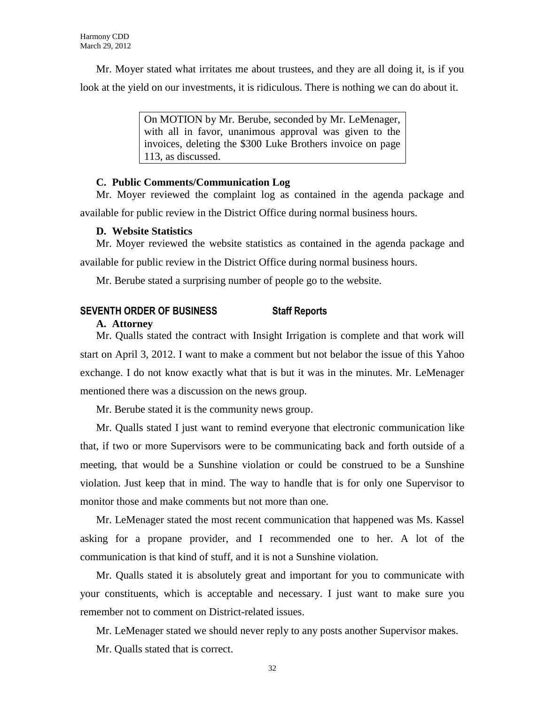Mr. Moyer stated what irritates me about trustees, and they are all doing it, is if you look at the yield on our investments, it is ridiculous. There is nothing we can do about it.

> On MOTION by Mr. Berube, seconded by Mr. LeMenager, with all in favor, unanimous approval was given to the invoices, deleting the \$300 Luke Brothers invoice on page 113, as discussed.

#### **C. Public Comments/Communication Log**

Mr. Moyer reviewed the complaint log as contained in the agenda package and available for public review in the District Office during normal business hours.

#### **D. Website Statistics**

Mr. Moyer reviewed the website statistics as contained in the agenda package and available for public review in the District Office during normal business hours.

Mr. Berube stated a surprising number of people go to the website.

#### **SEVENTH ORDER OF BUSINESS Staff Reports**

#### **A. Attorney**

Mr. Qualls stated the contract with Insight Irrigation is complete and that work will start on April 3, 2012. I want to make a comment but not belabor the issue of this Yahoo exchange. I do not know exactly what that is but it was in the minutes. Mr. LeMenager mentioned there was a discussion on the news group.

Mr. Berube stated it is the community news group.

Mr. Qualls stated I just want to remind everyone that electronic communication like that, if two or more Supervisors were to be communicating back and forth outside of a meeting, that would be a Sunshine violation or could be construed to be a Sunshine violation. Just keep that in mind. The way to handle that is for only one Supervisor to monitor those and make comments but not more than one.

Mr. LeMenager stated the most recent communication that happened was Ms. Kassel asking for a propane provider, and I recommended one to her. A lot of the communication is that kind of stuff, and it is not a Sunshine violation.

Mr. Qualls stated it is absolutely great and important for you to communicate with your constituents, which is acceptable and necessary. I just want to make sure you remember not to comment on District-related issues.

Mr. LeMenager stated we should never reply to any posts another Supervisor makes.

Mr. Qualls stated that is correct.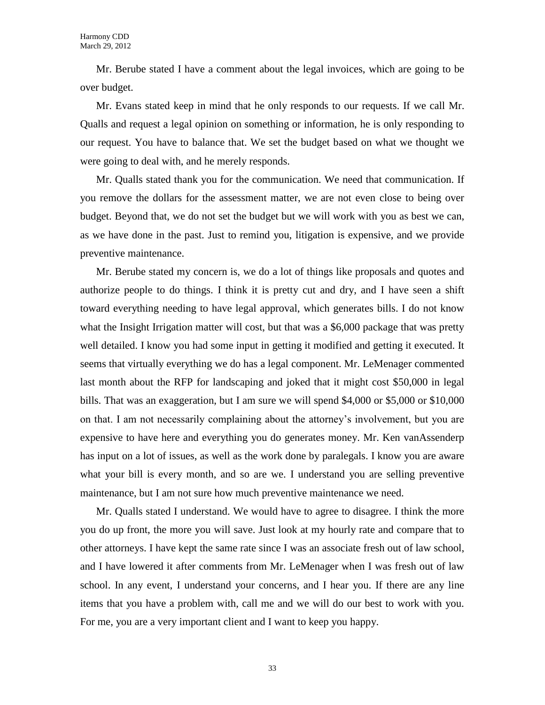Mr. Berube stated I have a comment about the legal invoices, which are going to be over budget.

Mr. Evans stated keep in mind that he only responds to our requests. If we call Mr. Qualls and request a legal opinion on something or information, he is only responding to our request. You have to balance that. We set the budget based on what we thought we were going to deal with, and he merely responds.

Mr. Qualls stated thank you for the communication. We need that communication. If you remove the dollars for the assessment matter, we are not even close to being over budget. Beyond that, we do not set the budget but we will work with you as best we can, as we have done in the past. Just to remind you, litigation is expensive, and we provide preventive maintenance.

Mr. Berube stated my concern is, we do a lot of things like proposals and quotes and authorize people to do things. I think it is pretty cut and dry, and I have seen a shift toward everything needing to have legal approval, which generates bills. I do not know what the Insight Irrigation matter will cost, but that was a \$6,000 package that was pretty well detailed. I know you had some input in getting it modified and getting it executed. It seems that virtually everything we do has a legal component. Mr. LeMenager commented last month about the RFP for landscaping and joked that it might cost \$50,000 in legal bills. That was an exaggeration, but I am sure we will spend \$4,000 or \$5,000 or \$10,000 on that. I am not necessarily complaining about the attorney's involvement, but you are expensive to have here and everything you do generates money. Mr. Ken vanAssenderp has input on a lot of issues, as well as the work done by paralegals. I know you are aware what your bill is every month, and so are we. I understand you are selling preventive maintenance, but I am not sure how much preventive maintenance we need.

Mr. Qualls stated I understand. We would have to agree to disagree. I think the more you do up front, the more you will save. Just look at my hourly rate and compare that to other attorneys. I have kept the same rate since I was an associate fresh out of law school, and I have lowered it after comments from Mr. LeMenager when I was fresh out of law school. In any event, I understand your concerns, and I hear you. If there are any line items that you have a problem with, call me and we will do our best to work with you. For me, you are a very important client and I want to keep you happy.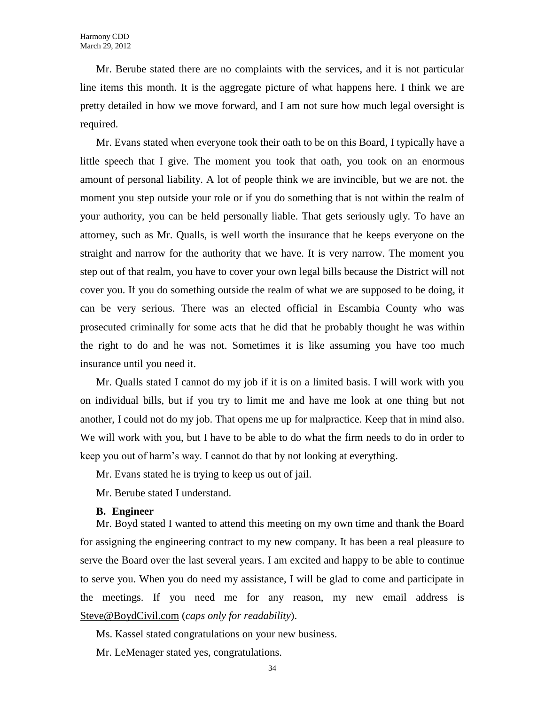Mr. Berube stated there are no complaints with the services, and it is not particular line items this month. It is the aggregate picture of what happens here. I think we are pretty detailed in how we move forward, and I am not sure how much legal oversight is required.

Mr. Evans stated when everyone took their oath to be on this Board, I typically have a little speech that I give. The moment you took that oath, you took on an enormous amount of personal liability. A lot of people think we are invincible, but we are not. the moment you step outside your role or if you do something that is not within the realm of your authority, you can be held personally liable. That gets seriously ugly. To have an attorney, such as Mr. Qualls, is well worth the insurance that he keeps everyone on the straight and narrow for the authority that we have. It is very narrow. The moment you step out of that realm, you have to cover your own legal bills because the District will not cover you. If you do something outside the realm of what we are supposed to be doing, it can be very serious. There was an elected official in Escambia County who was prosecuted criminally for some acts that he did that he probably thought he was within the right to do and he was not. Sometimes it is like assuming you have too much insurance until you need it.

Mr. Qualls stated I cannot do my job if it is on a limited basis. I will work with you on individual bills, but if you try to limit me and have me look at one thing but not another, I could not do my job. That opens me up for malpractice. Keep that in mind also. We will work with you, but I have to be able to do what the firm needs to do in order to keep you out of harm's way. I cannot do that by not looking at everything.

Mr. Evans stated he is trying to keep us out of jail.

Mr. Berube stated I understand.

#### **B. Engineer**

Mr. Boyd stated I wanted to attend this meeting on my own time and thank the Board for assigning the engineering contract to my new company. It has been a real pleasure to serve the Board over the last several years. I am excited and happy to be able to continue to serve you. When you do need my assistance, I will be glad to come and participate in the meetings. If you need me for any reason, my new email address is [Steve@BoydCivil.com](mailto:Steve@BoydCivil.com) (*caps only for readability*).

Ms. Kassel stated congratulations on your new business.

Mr. LeMenager stated yes, congratulations.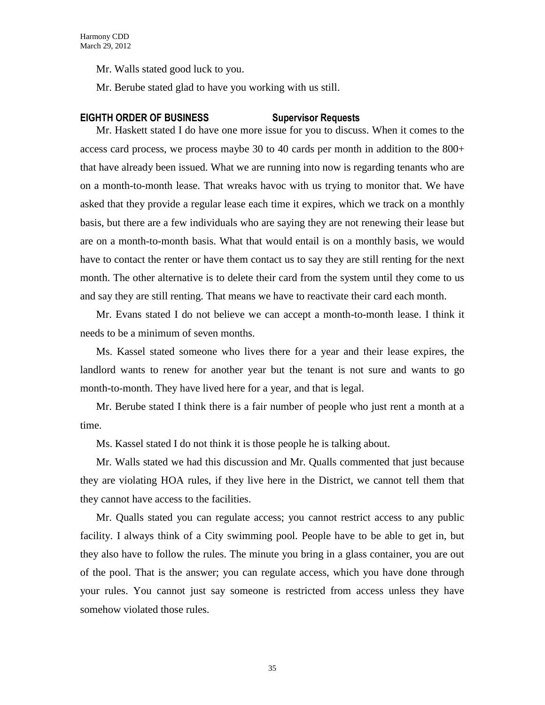Mr. Walls stated good luck to you.

Mr. Berube stated glad to have you working with us still.

#### **EIGHTH ORDER OF BUSINESS Supervisor Requests**

Mr. Haskett stated I do have one more issue for you to discuss. When it comes to the access card process, we process maybe 30 to 40 cards per month in addition to the 800+ that have already been issued. What we are running into now is regarding tenants who are on a month-to-month lease. That wreaks havoc with us trying to monitor that. We have asked that they provide a regular lease each time it expires, which we track on a monthly basis, but there are a few individuals who are saying they are not renewing their lease but are on a month-to-month basis. What that would entail is on a monthly basis, we would have to contact the renter or have them contact us to say they are still renting for the next month. The other alternative is to delete their card from the system until they come to us and say they are still renting. That means we have to reactivate their card each month.

Mr. Evans stated I do not believe we can accept a month-to-month lease. I think it needs to be a minimum of seven months.

Ms. Kassel stated someone who lives there for a year and their lease expires, the landlord wants to renew for another year but the tenant is not sure and wants to go month-to-month. They have lived here for a year, and that is legal.

Mr. Berube stated I think there is a fair number of people who just rent a month at a time.

Ms. Kassel stated I do not think it is those people he is talking about.

Mr. Walls stated we had this discussion and Mr. Qualls commented that just because they are violating HOA rules, if they live here in the District, we cannot tell them that they cannot have access to the facilities.

Mr. Qualls stated you can regulate access; you cannot restrict access to any public facility. I always think of a City swimming pool. People have to be able to get in, but they also have to follow the rules. The minute you bring in a glass container, you are out of the pool. That is the answer; you can regulate access, which you have done through your rules. You cannot just say someone is restricted from access unless they have somehow violated those rules.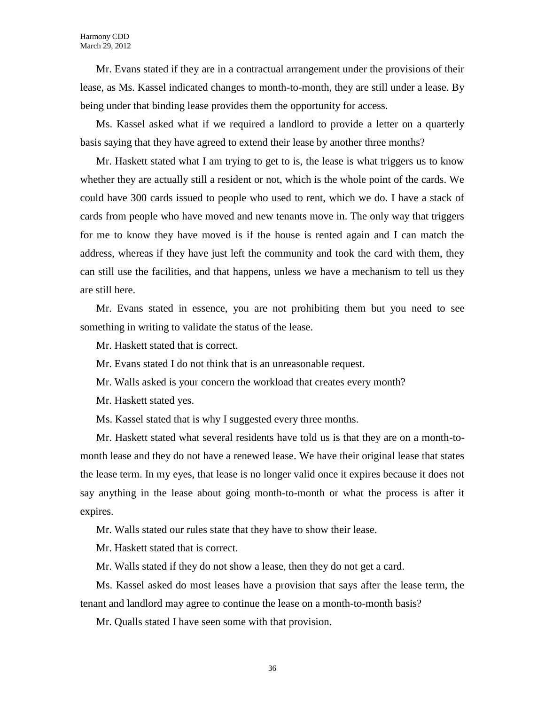Mr. Evans stated if they are in a contractual arrangement under the provisions of their lease, as Ms. Kassel indicated changes to month-to-month, they are still under a lease. By being under that binding lease provides them the opportunity for access.

Ms. Kassel asked what if we required a landlord to provide a letter on a quarterly basis saying that they have agreed to extend their lease by another three months?

Mr. Haskett stated what I am trying to get to is, the lease is what triggers us to know whether they are actually still a resident or not, which is the whole point of the cards. We could have 300 cards issued to people who used to rent, which we do. I have a stack of cards from people who have moved and new tenants move in. The only way that triggers for me to know they have moved is if the house is rented again and I can match the address, whereas if they have just left the community and took the card with them, they can still use the facilities, and that happens, unless we have a mechanism to tell us they are still here.

Mr. Evans stated in essence, you are not prohibiting them but you need to see something in writing to validate the status of the lease.

Mr. Haskett stated that is correct.

Mr. Evans stated I do not think that is an unreasonable request.

Mr. Walls asked is your concern the workload that creates every month?

Mr. Haskett stated yes.

Ms. Kassel stated that is why I suggested every three months.

Mr. Haskett stated what several residents have told us is that they are on a month-tomonth lease and they do not have a renewed lease. We have their original lease that states the lease term. In my eyes, that lease is no longer valid once it expires because it does not say anything in the lease about going month-to-month or what the process is after it expires.

Mr. Walls stated our rules state that they have to show their lease.

Mr. Haskett stated that is correct.

Mr. Walls stated if they do not show a lease, then they do not get a card.

Ms. Kassel asked do most leases have a provision that says after the lease term, the tenant and landlord may agree to continue the lease on a month-to-month basis?

Mr. Qualls stated I have seen some with that provision.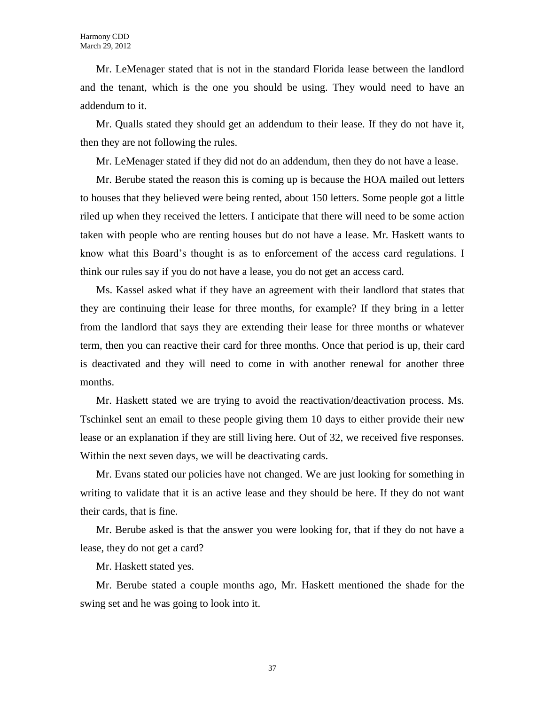Mr. LeMenager stated that is not in the standard Florida lease between the landlord and the tenant, which is the one you should be using. They would need to have an addendum to it.

Mr. Qualls stated they should get an addendum to their lease. If they do not have it, then they are not following the rules.

Mr. LeMenager stated if they did not do an addendum, then they do not have a lease.

Mr. Berube stated the reason this is coming up is because the HOA mailed out letters to houses that they believed were being rented, about 150 letters. Some people got a little riled up when they received the letters. I anticipate that there will need to be some action taken with people who are renting houses but do not have a lease. Mr. Haskett wants to know what this Board's thought is as to enforcement of the access card regulations. I think our rules say if you do not have a lease, you do not get an access card.

Ms. Kassel asked what if they have an agreement with their landlord that states that they are continuing their lease for three months, for example? If they bring in a letter from the landlord that says they are extending their lease for three months or whatever term, then you can reactive their card for three months. Once that period is up, their card is deactivated and they will need to come in with another renewal for another three months.

Mr. Haskett stated we are trying to avoid the reactivation/deactivation process. Ms. Tschinkel sent an email to these people giving them 10 days to either provide their new lease or an explanation if they are still living here. Out of 32, we received five responses. Within the next seven days, we will be deactivating cards.

Mr. Evans stated our policies have not changed. We are just looking for something in writing to validate that it is an active lease and they should be here. If they do not want their cards, that is fine.

Mr. Berube asked is that the answer you were looking for, that if they do not have a lease, they do not get a card?

Mr. Haskett stated yes.

Mr. Berube stated a couple months ago, Mr. Haskett mentioned the shade for the swing set and he was going to look into it.